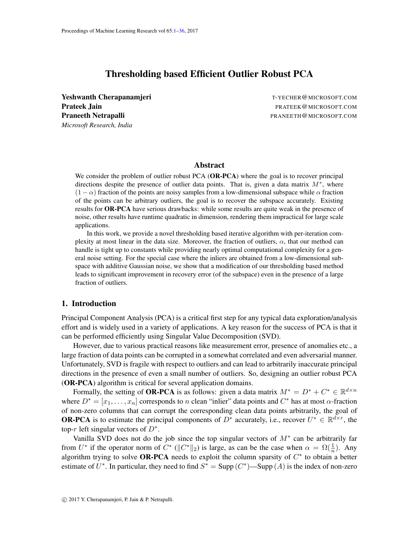# Thresholding based Efficient Outlier Robust PCA

<span id="page-0-0"></span>Yeshwanth Cherapanamjeri T-YECHER@MICROSOFT.COM **Prateek Jain** Prateek **Jain** Prateek **Jain** Prateek **Prateek Jain** Prateek **Prateek Jain** Prateek **Prateek** Prateek **Prateek** Prateek **Prateek** Prateek Prateek Prateek Prateek Prateek Prateek Prateek Prateek Prateek Prate Praneeth Netrapalli **Praneeth Netrapalli** PRANEETH **@MICROSOFT.COM** *Microsoft Research, India*

# Abstract

We consider the problem of outlier robust PCA (OR-PCA) where the goal is to recover principal directions despite the presence of outlier data points. That is, given a data matrix  $M^*$ , where  $(1 - \alpha)$  fraction of the points are noisy samples from a low-dimensional subspace while  $\alpha$  fraction of the points can be arbitrary outliers, the goal is to recover the subspace accurately. Existing results for OR-PCA have serious drawbacks: while some results are quite weak in the presence of noise, other results have runtime quadratic in dimension, rendering them impractical for large scale applications.

In this work, we provide a novel thresholding based iterative algorithm with per-iteration complexity at most linear in the data size. Moreover, the fraction of outliers,  $\alpha$ , that our method can handle is tight up to constants while providing nearly optimal computational complexity for a general noise setting. For the special case where the inliers are obtained from a low-dimensional subspace with additive Gaussian noise, we show that a modification of our thresholding based method leads to significant improvement in recovery error (of the subspace) even in the presence of a large fraction of outliers.

# 1. Introduction

Principal Component Analysis (PCA) is a critical first step for any typical data exploration/analysis effort and is widely used in a variety of applications. A key reason for the success of PCA is that it can be performed efficiently using Singular Value Decomposition (SVD).

However, due to various practical reasons like measurement error, presence of anomalies etc., a large fraction of data points can be corrupted in a somewhat correlated and even adversarial manner. Unfortunately, SVD is fragile with respect to outliers and can lead to arbitrarily inaccurate principal directions in the presence of even a small number of outliers. So, designing an outlier robust PCA (OR-PCA) algorithm is critical for several application domains.

Formally, the setting of **OR-PCA** is as follows: given a data matrix  $M^* = D^* + C^* \in \mathbb{R}^{d \times n}$ where  $D^* = [x_1, \dots, x_n]$  corresponds to n clean "inlier" data points and  $C^*$  has at most  $\alpha$ -fraction of non-zero columns that can corrupt the corresponding clean data points arbitrarily, the goal of **OR-PCA** is to estimate the principal components of  $D^*$  accurately, i.e., recover  $U^* \in \mathbb{R}^{d \times r}$ , the top-r left singular vectors of  $D^*$ .

Vanilla SVD does not do the job since the top singular vectors of  $M^*$  can be arbitrarily far from  $U^*$  if the operator norm of  $C^*$  ( $||C^*||_2$ ) is large, as can be the case when  $\alpha = \Omega(\frac{1}{n})$ . Any algorithm trying to solve OR-PCA needs to exploit the column sparsity of  $C^*$  to obtain a better estimate of  $U^*$ . In particular, they need to find  $S^* = \text{Supp}(C^*)$ —Supp  $(A)$  is the index of non-zero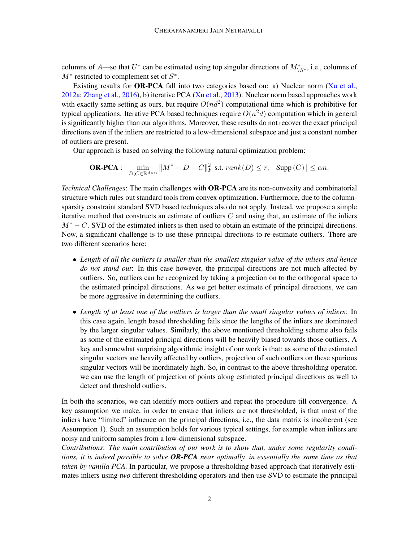columns of A—so that  $U^*$  can be estimated using top singular directions of  $M^*_{\setminus S^*}$ , i.e., columns of  $M^*$  restricted to complement set of  $S^*$ .

Existing results for OR-PCA fall into two categories based on: a) Nuclear norm [\(Xu et al.,](#page-17-0) [2012a;](#page-17-0) [Zhang et al.,](#page-17-1) [2016\)](#page-17-1), b) iterative PCA [\(Xu et al.,](#page-17-2) [2013\)](#page-17-2). Nuclear norm based approaches work with exactly same setting as ours, but require  $O(nd^2)$  computational time which is prohibitive for typical applications. Iterative PCA based techniques require  $O(n^2d)$  computation which in general is significantly higher than our algorithms. Moreover, these results do not recover the exact principal directions even if the inliers are restricted to a low-dimensional subspace and just a constant number of outliers are present.

Our approach is based on solving the following natural optimization problem:

**OR-PCA**: 
$$
\min_{D,C \in \mathbb{R}^{d \times n}} \|M^* - D - C\|_F^2 \text{ s.t. } rank(D) \leq r, \ |\text{Supp}(C)| \leq \alpha n.
$$

*Technical Challenges*: The main challenges with OR-PCA are its non-convexity and combinatorial structure which rules out standard tools from convex optimization. Furthermore, due to the columnsparsity constraint standard SVD based techniques also do not apply. Instead, we propose a simple iterative method that constructs an estimate of outliers  $C$  and using that, an estimate of the inliers  $M<sup>*</sup> - C$ . SVD of the estimated inliers is then used to obtain an estimate of the principal directions. Now, a significant challenge is to use these principal directions to re-estimate outliers. There are two different scenarios here:

- *Length of all the outliers is smaller than the smallest singular value of the inliers and hence do not stand out*: In this case however, the principal directions are not much affected by outliers. So, outliers can be recognized by taking a projection on to the orthogonal space to the estimated principal directions. As we get better estimate of principal directions, we can be more aggressive in determining the outliers.
- *Length of at least one of the outliers is larger than the small singular values of inliers*: In this case again, length based thresholding fails since the lengths of the inliers are dominated by the larger singular values. Similarly, the above mentioned thresholding scheme also fails as some of the estimated principal directions will be heavily biased towards those outliers. A key and somewhat surprising algorithmic insight of our work is that: as some of the estimated singular vectors are heavily affected by outliers, projection of such outliers on these spurious singular vectors will be inordinately high. So, in contrast to the above thresholding operator, we can use the length of projection of points along estimated principal directions as well to detect and threshold outliers.

In both the scenarios, we can identify more outliers and repeat the procedure till convergence. A key assumption we make, in order to ensure that inliers are not thresholded, is that most of the inliers have "limited" influence on the principal directions, i.e., the data matrix is incoherent (see Assumption [1\)](#page-5-0). Such an assumption holds for various typical settings, for example when inliers are noisy and uniform samples from a low-dimensional subspace.

*Contributions*: *The main contribution of our work is to show that, under some regularity conditions, it is indeed possible to solve OR-PCA near optimally, in essentially the same time as that taken by vanilla PCA.* In particular, we propose a thresholding based approach that iteratively estimates inliers using *two* different thresholding operators and then use SVD to estimate the principal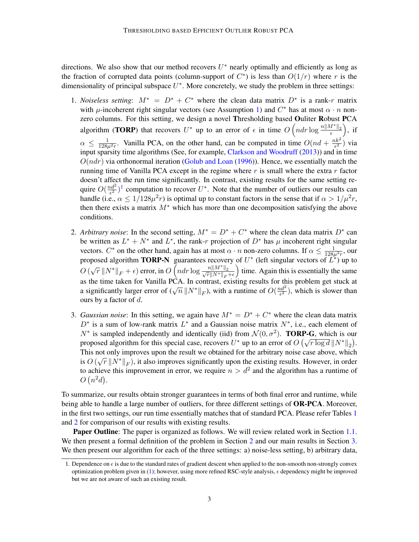directions. We also show that our method recovers  $U^*$  nearly optimally and efficiently as long as the fraction of corrupted data points (column-support of  $C^*$ ) is less than  $O(1/r)$  where r is the dimensionality of principal subspace  $U^*$ . More concretely, we study the problem in three settings:

- 1. *Noiseless setting*:  $M^* = D^* + C^*$  where the clean data matrix  $D^*$  is a rank-r matrix with  $\mu$ -incoherent right singular vectors (see Assumption [1\)](#page-5-0) and  $C^*$  has at most  $\alpha \cdot n$  nonzero columns. For this setting, we design a novel Thresholding based Ouliter Robust PCA algorithm (TORP) that recovers  $U^*$  up to an error of  $\epsilon$  in time  $O\left(ndr\log\frac{n||M^*||_2}{\epsilon}\right)$ , if  $\alpha \leq \frac{1}{128\mu^2 r}$ . Vanilla PCA, on the other hand, can be computed in time  $O(nd + \frac{nk^2}{\epsilon^2})$  $\frac{ik^2}{\epsilon^2}$ ) via input sparsity time algorithms (See, for example, [Clarkson and Woodruff](#page-16-0) [\(2013\)](#page-16-0)) and in time  $O(ndr)$  via orthonormal iteration [\(Golub and Loan](#page-17-3) [\(1996\)](#page-17-3)). Hence, we essentially match the running time of Vanilla PCA except in the regime where  $r$  is small where the extra  $r$  factor doesn't affect the run time significantly. In contrast, existing results for the same setting require  $O(\frac{nd^2}{\epsilon^2})$  $\frac{2(d^2)}{\epsilon^2}$ <sup>[1](#page-2-0)</sup> computation to recover  $U^*$ . Note that the number of outliers our results can handle (i.e.,  $\alpha \leq 1/128\mu^2 r$ ) is optimal up to constant factors in the sense that if  $\alpha > 1/\mu^2 r$ , then there exists a matrix  $M^*$  which has more than one decomposition satisfying the above conditions.
- 2. *Arbitrary noise*: In the second setting,  $M^* = D^* + C^*$  where the clean data matrix  $D^*$  can be written as  $L^* + N^*$  and  $L^*$ , the rank-r projection of  $D^*$  has  $\mu$  incoherent right singular vectors.  $C^*$  on the other hand, again has at most  $\alpha \cdot n$  non-zero columns. If  $\alpha \le \frac{1}{128\mu^2 r}$ , our proposed algorithm **TORP-N** guarantees recovery of  $U^*$  (left singular vectors of  $\overline{L^*}$ ) up to  $O(\sqrt{r} || N^* ||_F + \epsilon)$  error, in  $O\left(ndr \log \frac{n || M^* ||_2}{\sqrt{r} || N^* ||_F + \epsilon}\right)$ ) time. Again this is essentially the same as the time taken for Vanilla PCA. In contrast, existing results for this problem get stuck at as the time taken for vanita 1 CA. In contrast, existing results for the a significantly larger error of  $(\sqrt{n} || N^* ||_F)$ , with a runtime of  $O(\frac{nd^2}{\epsilon^2})$  $\frac{2d^2}{\epsilon^2}$ ), which is slower than ours by a factor of  $d$ .
- 3. *Gaussian noise*: In this setting, we again have  $M^* = D^* + C^*$  where the clean data matrix  $D^*$  is a sum of low-rank matrix  $L^*$  and a Gaussian noise matrix  $N^*$ , i.e., each element of  $N^*$  is sampled independently and identically (iid) from  $\mathcal{N}(0, \sigma^2)$ . TORP-G, which is our to the sampled independently and identically (nd) from  $\mathcal{N}(0, \theta)$ . **IOKI-G**, which is our proposed algorithm for this special case, recovers  $U^*$  up to an error of  $O(\sqrt{r \log d} ||N^*||_2)$ . This not only improves upon the result we obtained for the arbitrary noise case above, which  $\sim$  0.4  $\sim$  1.7<sup>\*\*</sup> is  $O(\sqrt{r}||N^*||_F)$ , it also improves significantly upon the existing results. However, in order to achieve this improvement in error, we require  $n > d^2$  and the algorithm has a runtime of  $O(n^2d)$ .

To summarize, our results obtain stronger guarantees in terms of both final error and runtime, while being able to handle a large number of outliers, for three different settings of **OR-PCA**. Moreover, in the first two settings, our run time essentially matches that of standard PCA. Please refer Tables [1](#page-3-0) and [2](#page-3-0) for comparison of our results with existing results.

Paper Outline: The paper is organized as follows. We will review related work in Section [1.1.](#page-3-1) We then present a formal definition of the problem in Section [2](#page-5-1) and our main results in Section [3.](#page-5-2) We then present our algorithm for each of the three settings: a) noise-less setting, b) arbitrary data,

<span id="page-2-0"></span><sup>1.</sup> Dependence on  $\epsilon$  is due to the standard rates of gradient descent when applied to the non-smooth non-strongly convex optimization problem given in [\(1\)](#page-3-2); however, using more refined RSC-style analysis,  $\epsilon$  dependency might be improved but we are not aware of such an existing result.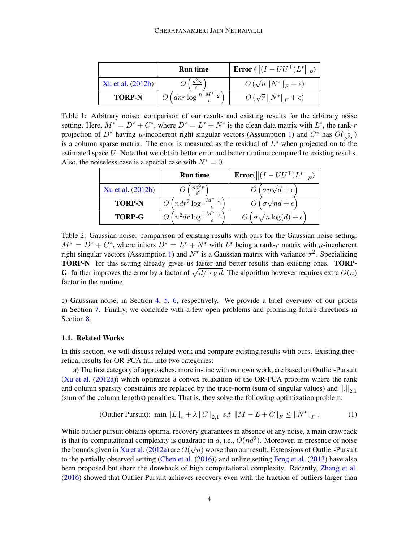<span id="page-3-0"></span>

|                   | <b>Run time</b>                                                  | <b>Error</b> ( $  (I - U U^{\top})L^*  _F$ ) |
|-------------------|------------------------------------------------------------------|----------------------------------------------|
| Xu et al. (2012b) |                                                                  | $O(\sqrt{n}  N^*  _F+\epsilon)$              |
| <b>TORP-N</b>     | $\frac{1}{2}$ O $\left($ dnr log $\frac{n  M^*  _2}{\epsilon}$ . | $O(\sqrt{r}  N^*  _F+\epsilon)$              |

Table 1: Arbitrary noise: comparison of our results and existing results for the arbitrary noise setting. Here,  $M^* = D^* + C^*$ , where  $D^* = L^* + N^*$  is the clean data matrix with  $L^*$ , the rank-r projection of  $D^*$  having  $\mu$ -incoherent right singular vectors (Assumption [1\)](#page-5-0) and  $C^*$  has  $O(\frac{1}{\mu^2 r})$ is a column sparse matrix. The error is measured as the residual of  $L^*$  when projected on to the estimated space U. Note that we obtain better error and better runtime compared to existing results. Also, the noiseless case is a special case with  $N^* = 0$ .

|                   | <b>Run time</b>                 | <b>Error</b> ( $\ (I - U U^{\top})L^*\ _F$ ) |
|-------------------|---------------------------------|----------------------------------------------|
| Xu et al. (2012b) |                                 | $O(\sigma n\sqrt{d}+\epsilon)$               |
| <b>TORP-N</b>     | $O\left(ndr^2\log\right)$       | $U\left(\sigma\sqrt{nd}+\epsilon\right)$     |
| <b>TORP-G</b>     | $O(n^2dr \log \frac{  v  }{r})$ | $\sigma \sqrt{n \log(d)} + \epsilon$         |

Table 2: Gaussian noise: comparison of existing results with ours for the Gaussian noise setting:  $M^* = D^* + C^*$ , where inliers  $D^* = L^* + N^*$  with  $L^*$  being a rank-r matrix with  $\mu$ -incoherent right singular vectors (Assumption [1\)](#page-5-0) and  $N^*$  is a Gaussian matrix with variance  $\sigma^2$ . Specializing TORP-N for this setting already gives us faster and better results than existing ones. TORP-**G** further improves the error by a factor of  $\sqrt{d/\log d}$ . The algorithm however requires extra  $O(n)$ factor in the runtime.

c) Gaussian noise, in Section [4,](#page-7-0) [5,](#page-8-0) [6,](#page-10-0) respectively. We provide a brief overview of our proofs in Section [7.](#page-12-0) Finally, we conclude with a few open problems and promising future directions in Section [8.](#page-15-0)

# <span id="page-3-1"></span>1.1. Related Works

In this section, we will discuss related work and compare existing results with ours. Existing theoretical results for OR-PCA fall into two categories:

a) The first category of approaches, more in-line with our own work, are based on Outlier-Pursuit [\(Xu et al.](#page-17-0) [\(2012a\)](#page-17-0)) which optimizes a convex relaxation of the OR-PCA problem where the rank and column sparsity constraints are replaced by the trace-norm (sum of singular values) and  $\|.\|_{2,1}$ (sum of the column lengths) penalties. That is, they solve the following optimization problem:

<span id="page-3-2"></span>(Outlier Pursuit): min 
$$
||L||_* + \lambda ||C||_{2,1}
$$
 s.t  $||M - L + C||_F \le ||N^*||_F$ . (1)

While outlier pursuit obtains optimal recovery guarantees in absence of any noise, a main drawback is that its computational complexity is quadratic in d, i.e.,  $O(nd^2)$ . Moreover, in presence of noise the bounds given in [Xu et al.](#page-17-0) [\(2012a\)](#page-17-0) are  $O(\sqrt{n})$  worse than our result. Extensions of Outlier-Pursuit to the partially observed setting [\(Chen et al.](#page-16-1) [\(2016\)](#page-16-1)) and online setting [Feng et al.](#page-16-2) [\(2013\)](#page-16-2) have also been proposed but share the drawback of high computational complexity. Recently, [Zhang et al.](#page-17-1) [\(2016\)](#page-17-1) showed that Outlier Pursuit achieves recovery even with the fraction of outliers larger than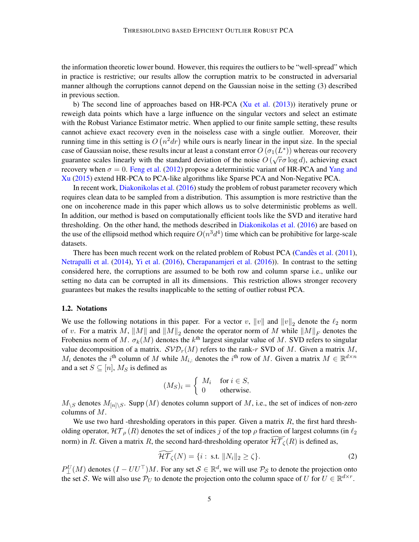the information theoretic lower bound. However, this requires the outliers to be "well-spread" which in practice is restrictive; our results allow the corruption matrix to be constructed in adversarial manner although the corruptions cannot depend on the Gaussian noise in the setting (3) described in previous section.

b) The second line of approaches based on HR-PCA [\(Xu et al.](#page-17-2) [\(2013\)](#page-17-2)) iteratively prune or reweigh data points which have a large influence on the singular vectors and select an estimate with the Robust Variance Estimator metric. When applied to our finite sample setting, these results cannot achieve exact recovery even in the noiseless case with a single outlier. Moreover, their running time in this setting is  $O(n^2 dr)$  while ours is nearly linear in the input size. In the special case of Gaussian noise, these results incur at least a constant error  $O(\sigma_1(L^*))$  whereas our recovery guarantee scales linearly with the standard deviation of the noise  $O(\sqrt{r}\sigma \log d)$ , achieving exact recovery when  $\sigma = 0$ . [Feng et al.](#page-16-3) [\(2012\)](#page-16-3) propose a deterministic variant of HR-PCA and [Yang and](#page-17-5) [Xu](#page-17-5) [\(2015\)](#page-17-5) extend HR-PCA to PCA-like algorithms like Sparse PCA and Non-Negative PCA.

In recent work, [Diakonikolas et al.](#page-16-4) [\(2016\)](#page-16-4) study the problem of robust parameter recovery which requires clean data to be sampled from a distribution. This assumption is more restrictive than the one on incoherence made in this paper which allows us to solve deterministic problems as well. In addition, our method is based on computationally efficient tools like the SVD and iterative hard thresholding. On the other hand, the methods described in [Diakonikolas et al.](#page-16-4) [\(2016\)](#page-16-4) are based on the use of the ellipsoid method which require  $O(n^3d^4)$  time which can be prohibitive for large-scale datasets.

There has been much recent work on the related problem of Robust PCA (Candès et al. [\(2011\)](#page-16-5), [Netrapalli et al.](#page-17-6) [\(2014\)](#page-17-6), [Yi et al.](#page-17-7) [\(2016\)](#page-17-7), [Cherapanamjeri et al.](#page-16-6) [\(2016\)](#page-16-6)). In contrast to the setting considered here, the corruptions are assumed to be both row and column sparse i.e., unlike our setting no data can be corrupted in all its dimensions. This restriction allows stronger recovery guarantees but makes the results inapplicable to the setting of outlier robust PCA.

#### 1.2. Notations

We use the following notations in this paper. For a vector v,  $||v||$  and  $||v||_2$  denote the  $\ell_2$  norm of v. For a matrix M,  $||M||$  and  $||M||_2$  denote the operator norm of M while  $||M||_F$  denotes the Frobenius norm of M.  $\sigma_k(M)$  denotes the  $k^{\text{th}}$  largest singular value of M. SVD refers to singular value decomposition of a matrix.  $SVD_r(M)$  refers to the rank-r SVD of M. Given a matrix M,  $M_i$  denotes the i<sup>th</sup> column of M while  $M_{i,:}$  denotes the i<sup>th</sup> row of M. Given a matrix  $M \in \mathbb{R}^{d \times n}$ and a set  $S \subseteq [n]$ ,  $M_S$  is defined as

$$
(M_S)_i = \begin{cases} M_i & \text{for } i \in S, \\ 0 & \text{otherwise.} \end{cases}
$$

 $M_{\setminus S}$  denotes  $M_{[n]\setminus S}$ . Supp  $(M)$  denotes column support of M, i.e., the set of indices of non-zero columns of M.

We use two hard -thresholding operators in this paper. Given a matrix  $R$ , the first hard thresholding operator,  $\mathcal{HT}_{\rho}(R)$  denotes the set of indices j of the top  $\rho$  fraction of largest columns (in  $\ell_2$ norm) in R. Given a matrix R, the second hard-thresholding operator  $\widetilde{\mathcal{HT}_{\zeta}}(R)$  is defined as,

<span id="page-4-0"></span>
$$
\widetilde{\mathcal{HT}}_{\zeta}(N) = \{i : \text{ s.t. } ||N_i||_2 \ge \zeta\}. \tag{2}
$$

 $P_{\perp}^U(M)$  denotes  $(I - UU^{\top})M$ . For any set  $S \in \mathbb{R}^d$ , we will use  $P_S$  to denote the projection onto the set S. We will also use  $P_U$  to denote the projection onto the column space of U for  $U \in \mathbb{R}^{d \times r}$ .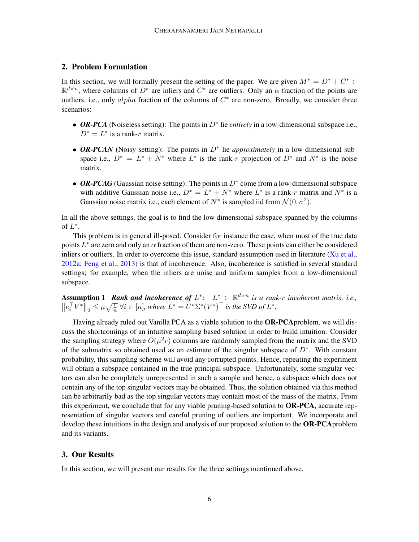# <span id="page-5-1"></span>2. Problem Formulation

In this section, we will formally present the setting of the paper. We are given  $M^* = D^* + C^* \in$  $\mathbb{R}^{d \times n}$ , where columns of  $D^*$  are inliers and  $C^*$  are outliers. Only an  $\alpha$  fraction of the points are outliers, i.e., only alpha fraction of the columns of  $C^*$  are non-zero. Broadly, we consider three scenarios:

- *OR-PCA* (Noiseless setting): The points in D<sup>∗</sup> lie *entirely* in a low-dimensional subspace i.e.,  $D^* = L^*$  is a rank-r matrix.
- OR-PCAN (Noisy setting): The points in D<sup>\*</sup> lie *approximately* in a low-dimensional subspace i.e.,  $D^* = L^* + N^*$  where  $L^*$  is the rank-r projection of  $D^*$  and  $N^*$  is the noise matrix.
- OR-PCAG (Gaussian noise setting): The points in D<sup>\*</sup> come from a low-dimensional subspace with additive Gaussian noise i.e.,  $D^* = L^* + N^*$  where  $L^*$  is a rank-r matrix and  $N^*$  is a Gaussian noise matrix i.e., each element of  $N^*$  is sampled iid from  $\mathcal{N}(0, \sigma^2)$ .

In all the above settings, the goal is to find the low dimensional subspace spanned by the columns of  $L^*$ .

This problem is in general ill-posed. Consider for instance the case, when most of the true data points  $L^*$  are zero and only an  $\alpha$  fraction of them are non-zero. These points can either be considered inliers or outliers. In order to overcome this issue, standard assumption used in literature [\(Xu et al.,](#page-17-0) [2012a;](#page-17-0) [Feng et al.,](#page-16-2) [2013\)](#page-16-2) is that of incoherence. Also, incoherence is satisfied in several standard settings; for example, when the inliers are noise and uniform samples from a low-dimensional subspace.

<span id="page-5-0"></span>**Assumption 1** Rank and incoherence of  $L^*$ :  $L^* \in \mathbb{R}^{d \times n}$  is a rank-r incoherent matrix, i.e.,  $||e_i^{\top}V^*||_2 \leq \mu \sqrt{\frac{r}{n}} \ \forall i \in [n]$ , where  $L^* = U^* \Sigma^* (V^*)^{\top}$  is the SVD of  $L^*$ .

Having already ruled out Vanilla PCA as a viable solution to the OR-PCAproblem, we will discuss the shortcomings of an intuitive sampling based solution in order to build intuition. Consider the sampling strategy where  $O(\mu^2 r)$  columns are randomly sampled from the matrix and the SVD of the submatrix so obtained used as an estimate of the singular subspace of  $D^*$ . With constant probability, this sampling scheme will avoid any corrupted points. Hence, repeating the experiment will obtain a subspace contained in the true principal subspace. Unfortunately, some singular vectors can also be completely unrepresented in such a sample and hence, a subspace which does not contain any of the top singular vectors may be obtained. Thus, the solution obtained via this method can be arbitrarily bad as the top singular vectors may contain most of the mass of the matrix. From this experiment, we conclude that for any viable pruning-based solution to **OR-PCA**, accurate representation of singular vectors and careful pruning of outliers are important. We incorporate and develop these intuitions in the design and analysis of our proposed solution to the **OR-PCA** problem and its variants.

### <span id="page-5-2"></span>3. Our Results

In this section, we will present our results for the three settings mentioned above.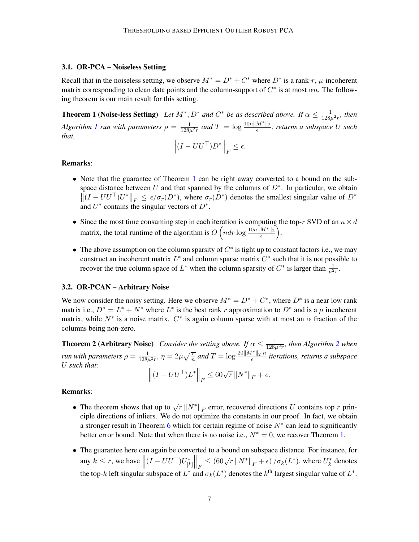# 3.1. OR-PCA – Noiseless Setting

Recall that in the noiseless setting, we observe  $M^* = D^* + C^*$  where  $D^*$  is a rank-r,  $\mu$ -incoherent matrix corresponding to clean data points and the column-support of  $C^*$  is at most  $\alpha n$ . The following theorem is our main result for this setting.

**Theorem 1 (Noise-less Setting)** Let  $M^*$ ,  $D^*$  and  $C^*$  be as described above. If  $\alpha \leq \frac{1}{128\mu^2 r}$ , then *Algorithm [1](#page-9-0) run with parameters*  $\rho = \frac{1}{128\mu^2 r}$  and  $T = \log \frac{10n||M^*||_2}{\epsilon}$ , returns a subspace U such *that,*

<span id="page-6-0"></span>
$$
\left\| (I - U U^{\top}) D^* \right\|_F \le \epsilon.
$$

# Remarks:

- Note that the guarantee of Theorem [1](#page-6-0) can be right away converted to a bound on the subspace distance between U and that spanned by the columns of  $D^*$ . In particular, we obtain  $||(I - U U^{\top}) U^*||_F \le \epsilon / \sigma_r (D^*)$ , where  $\sigma_r (D^*)$  denotes the smallest singular value of  $D^*$ and  $U^*$  contains the singular vectors of  $D^*$ .
- Since the most time consuming step in each iteration is computing the top-r SVD of an  $n \times d$ matrix, the total runtime of the algorithm is  $O\left(ndr \log \frac{10n||M^*||_2}{\epsilon}\right)$ .
- The above assumption on the column sparsity of  $C^*$  is tight up to constant factors i.e., we may construct an incoherent matrix  $L^*$  and column sparse matrix  $C^*$  such that it is not possible to recover the true column space of  $L^*$  when the column sparsity of  $C^*$  is larger than  $\frac{1}{\mu^2 r}$ .

### 3.2. OR-PCAN – Arbitrary Noise

We now consider the noisy setting. Here we observe  $M^* = D^* + C^*$ , where  $D^*$  is a near low rank matrix i.e.,  $D^* = L^* + N^*$  where  $L^*$  is the best rank r approximation to  $D^*$  and is a  $\mu$  incoherent matrix, while  $N^*$  is a noise matrix.  $C^*$  is again column sparse with at most an  $\alpha$  fraction of the columns being non-zero.

**Theorem [2](#page-10-1) (Arbitrary Noise)** Consider the setting above. If  $\alpha \leq \frac{1}{128\mu^2 r}$ , then Algorithm 2 when *run with parameters*  $\rho = \frac{1}{128\mu^2 r}$ *,*  $\eta = 2\mu\sqrt{\frac{r}{n}}$  *and*  $T = \log \frac{20\|M^*\|_2 \cdot n}{\epsilon}$  *iterations, returns a subspace* U *such that:*

<span id="page-6-1"></span>
$$
\left\| \left(I - U U^\top\right) L^* \right\|_F \le 60 \sqrt{r} \left\| N^* \right\|_F + \epsilon.
$$

#### Remarks:

- The theorem shows that up to  $\sqrt{r} ||N^*||_F$  error, recovered directions U contains top r principle directions of inliers. We do not optimize the constants in our proof. In fact, we obtain a stronger result in Theorem [6](#page-14-0) which for certain regime of noise  $N^*$  can lead to significantly better error bound. Note that when there is no noise i.e.,  $N^* = 0$ , we recover Theorem [1.](#page-6-0)
- The guarantee here can again be converted to a bound on subspace distance. For instance, for any  $k \leq r$ , we have  $\left\| (I - U U^{\top}) U_{[k]}^* \right\|_F \leq (60\sqrt{r} \left\| N^* \right\|_F + \epsilon) / \sigma_k(L^*)$ , where  $U_k^*$  denotes the top-k left singular subspace of  $L^*$  and  $\sigma_k(L^*)$  denotes the k<sup>th</sup> largest singular value of  $L^*$ .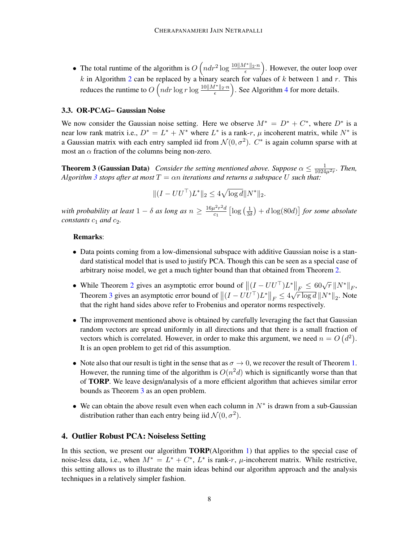• The total runtime of the algorithm is  $O\left(ndr^2\log \frac{10||M^*||_2 \cdot n}{\epsilon}\right)$ . However, the outer loop over k in Algorithm [2](#page-10-1) can be replaced by a binary search for values of k between 1 and r. This reduces the runtime to  $O\left(ndr\log r\log \frac{10\|M^*\|_2\cdot n}{\epsilon}\right)$ . See Algorithm [4](#page-32-0) for more details.

### 3.3. OR-PCAG– Gaussian Noise

We now consider the Gaussian noise setting. Here we observe  $M^* = D^* + C^*$ , where  $D^*$  is a near low rank matrix i.e.,  $D^* = L^* + N^*$  where  $L^*$  is a rank-r,  $\mu$  incoherent matrix, while  $N^*$  is a Gaussian matrix with each entry sampled iid from  $\mathcal{N}(0, \sigma^2)$ .  $C^*$  is again column sparse with at most an  $\alpha$  fraction of the columns being non-zero.

<span id="page-7-1"></span>**Theorem 3 (Gaussian Data)** Consider the setting mentioned above. Suppose  $\alpha \leq \frac{1}{1024\mu^2 r}$ . Then, *Algorithm* [3](#page-11-0) *stops after at most*  $T = \alpha n$  *iterations and returns a subspace* U *such that:* 

$$
|| (I - UU^\top) L^* ||_2 \le 4\sqrt{\log d} ||N^* ||_2.
$$

*with probability at least*  $1 - \delta$  *as long as*  $n \geq \frac{16\mu^2 r^2 d}{c}$  $rac{\mu^2 r^2 d}{c_1}$  [log  $\left(\frac{1}{3\alpha}\right)$  $\frac{1}{3\delta}) + d\log(80d)$ ] for some absolute *constants*  $c_1$  *and*  $c_2$ *.* 

# Remarks:

- Data points coming from a low-dimensional subspace with additive Gaussian noise is a standard statistical model that is used to justify PCA. Though this can be seen as a special case of arbitrary noise model, we get a much tighter bound than that obtained from Theorem [2.](#page-6-1)
- While Theorem [2](#page-6-1) gives an asymptotic error bound of  $\|(I U U^{\top}) L^*\|_F \leq 60 \sqrt{r} \|N^*\|_F$ , Theorem [3](#page-7-1) gives an asymptotic error bound of  $||(I - U U^{\top})L^*||_F \leq 4$  $\frac{\Vert F \Vert \leq 0.0 \sqrt{r} \Vert \Vert Y \Vert_{F}}{\sqrt{r \log d} \Vert N^* \Vert_2}$ . Note that the right hand sides above refer to Frobenius and operator norms respectively.
- The improvement mentioned above is obtained by carefully leveraging the fact that Gaussian random vectors are spread uniformly in all directions and that there is a small fraction of vectors which is correlated. However, in order to make this argument, we need  $n = O(d^2)$ . It is an open problem to get rid of this assumption.
- Note also that our result is tight in the sense that as  $\sigma \to 0$ , we recover the result of Theorem [1.](#page-6-0) However, the running time of the algorithm is  $O(n^2d)$  which is significantly worse than that of TORP. We leave design/analysis of a more efficient algorithm that achieves similar error bounds as Theorem [3](#page-7-1) as an open problem.
- We can obtain the above result even when each column in  $N^*$  is drawn from a sub-Gaussian distribution rather than each entry being iid  $\mathcal{N}(0, \sigma^2)$ .

# <span id="page-7-0"></span>4. Outlier Robust PCA: Noiseless Setting

In this section, we present our algorithm **TORP**(Algorithm [1\)](#page-9-0) that applies to the special case of noise-less data, i.e., when  $M^* = L^* + C^*$ ,  $L^*$  is rank-r,  $\mu$ -incoherent matrix. While restrictive, this setting allows us to illustrate the main ideas behind our algorithm approach and the analysis techniques in a relatively simpler fashion.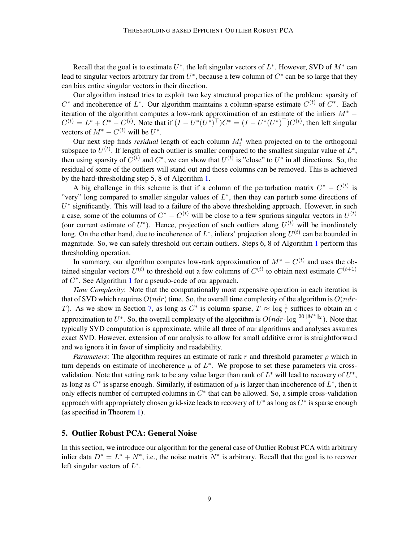Recall that the goal is to estimate  $U^*$ , the left singular vectors of  $L^*$ . However, SVD of  $M^*$  can lead to singular vectors arbitrary far from  $U^*$ , because a few column of  $C^*$  can be so large that they can bias entire singular vectors in their direction.

Our algorithm instead tries to exploit two key structural properties of the problem: sparsity of  $C^*$  and incoherence of  $L^*$ . Our algorithm maintains a column-sparse estimate  $C^{(t)}$  of  $C^*$ . Each iteration of the algorithm computes a low-rank approximation of an estimate of the inliers  $M^*$  −  $C^{(t)} = L^* + C^* - C^{(t)}$ . Note that if  $(I - U^*(U^*)^\top)C^* = (I - U^*(U^*)^\top)C^{(t)}$ , then left singular vectors of  $M^* - C^{(t)}$  will be  $U^*$ .

Our next step finds *residual* length of each column  $M_i^*$  when projected on to the orthogonal subspace to  $U^{(t)}$ . If length of each outlier is smaller compared to the smallest singular value of  $L^*$ , then using sparsity of  $C^{(t)}$  and  $C^*$ , we can show that  $U^{(t)}$  is "close" to  $U^*$  in all directions. So, the residual of some of the outliers will stand out and those columns can be removed. This is achieved by the hard-thresholding step 5, 8 of Algorithm [1.](#page-9-0)

A big challenge in this scheme is that if a column of the perturbation matrix  $C^* - C^{(t)}$  is "very" long compared to smaller singular values of  $L^*$ , then they can perturb some directions of  $U^*$  significantly. This will lead to a failure of the above thresholding approach. However, in such a case, some of the columns of  $C^* - C^{(t)}$  will be close to a few spurious singular vectors in  $U^{(t)}$ (our current estimate of  $U^*$ ). Hence, projection of such outliers along  $U^{(t)}$  will be inordinately long. On the other hand, due to incoherence of  $L^*$ , inliers' projection along  $U^{(t)}$  can be bounded in magnitude. So, we can safely threshold out certain outliers. Steps 6, 8 of Algorithm [1](#page-9-0) perform this thresholding operation.

In summary, our algorithm computes low-rank approximation of  $M^* - C^{(t)}$  and uses the obtained singular vectors  $U^{(t)}$  to threshold out a few columns of  $C^{(t)}$  to obtain next estimate  $C^{(t+1)}$ of  $C^*$ . See Algorithm [1](#page-9-0) for a pseudo-code of our approach.

*Time Complexity*: Note that the computationally most expensive operation in each iteration is that of SVD which requires  $O(ndr)$  time. So, the overall time complexity of the algorithm is  $O(ndr)$ T). As we show in Section [7,](#page-12-0) as long as  $C^*$  is column-sparse,  $T \approx \log \frac{1}{\epsilon}$  suffices to obtain an  $\epsilon$ approximation to  $U^*$ . So, the overall complexity of the algorithm is  $O(ndr \cdot \log \frac{20||M^*||_2}{\epsilon})$ . Note that typically SVD computation is approximate, while all three of our algorithms and analyses assumes exact SVD. However, extension of our analysis to allow for small additive error is straightforward and we ignore it in favor of simplicity and readability.

*Parameters*: The algorithm requires an estimate of rank r and threshold parameter  $\rho$  which in turn depends on estimate of incoherence  $\mu$  of  $L^*$ . We propose to set these parameters via crossvalidation. Note that setting rank to be any value larger than rank of  $L^*$  will lead to recovery of  $U^*$ , as long as  $C^*$  is sparse enough. Similarly, if estimation of  $\mu$  is larger than incoherence of  $L^*$ , then it only effects number of corrupted columns in  $C^*$  that can be allowed. So, a simple cross-validation approach with appropriately chosen grid-size leads to recovery of  $U^*$  as long as  $C^*$  is sparse enough (as specified in Theorem [1\)](#page-6-0).

### <span id="page-8-0"></span>5. Outlier Robust PCA: General Noise

In this section, we introduce our algorithm for the general case of Outlier Robust PCA with arbitrary inlier data  $D^* = L^* + N^*$ , i.e., the noise matrix  $N^*$  is arbitrary. Recall that the goal is to recover left singular vectors of  $L^*$ .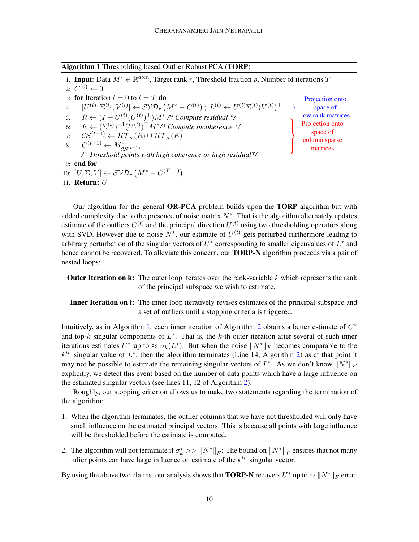<span id="page-9-0"></span>Algorithm 1 Thresholding based Outlier Robust PCA (TORP)

1: Input: Data  $M^* \in \mathbb{R}^{d \times n}$ , Target rank r, Threshold fraction  $\rho$ , Number of iterations T 2:  $C^{(0)} \leftarrow 0$ 3: for Iteration  $t = 0$  to  $t = T$  do 4:  $[U^{(t)}, \Sigma^{(t)}, V^{(t)}] \leftarrow \mathcal{SVD}_r(M^* - C^{(t)}); L^{(t)} \leftarrow U^{(t)}\Sigma^{(t)}(V^{(t)})^\top$ Projection onto space of 5:  $R ← (I – U<sup>(t)</sup>(U<sup>(t)</sup>)<sup>⊤</sup>)M<sup>*</sup>/* Compute residual */$  low rank matrices 6:  $E \leftarrow (\Sigma^{(t)})^{-1} (U^{(t)})^{\top} M^*$ /\* Compute incoherence \*/ 7:  $\mathcal{CS}^{(t+1)} \leftarrow \mathcal{HT}_{\rho}(R) \cup \mathcal{HT}_{\rho}(E)$  $\mathcal{L}$  $\mathcal{L}$  $\int$ Projection onto space of column sparse 8:  $C^{(t+1)} \leftarrow M^*_{\mathcal{CS}^{(t+1)}}$  column spa */\* Threshold points with high coherence or high residual\*/* 9: end for 10:  $[U, \Sigma, V] \leftarrow \mathcal{SVD}_r(M^* - C^{(T+1)})$ 11: Return: U

Our algorithm for the general OR-PCA problem builds upon the TORP algorithm but with added complexity due to the presence of noise matrix  $N^*$ . That is the algorithm alternately updates estimate of the outliers  $C^{(t)}$  and the principal direction  $U^{(t)}$  using two thresholding operators along with SVD. However due to noise  $N^*$ , our estimate of  $U^{(t)}$  gets perturbed furthermore leading to arbitrary perturbation of the singular vectors of  $U^*$  corresponding to smaller eigenvalues of  $L^*$  and hence cannot be recovered. To alleviate this concern, our TORP-N algorithm proceeds via a pair of nested loops:

- **Outer Iteration on k:** The outer loop iterates over the rank-variable  $k$  which represents the rank of the principal subspace we wish to estimate.
- Inner Iteration on t: The inner loop iteratively revises estimates of the principal subspace and a set of outliers until a stopping criteria is triggered.

Intuitively, as in Algorithm [1,](#page-9-0) each inner iteration of Algorithm [2](#page-10-1) obtains a better estimate of  $C^*$ and top- $k$  singular components of  $L^*$ . That is, the  $k$ -th outer iteration after several of such inner iterations estimates  $U^*$  up to  $\approx \sigma_k(L^*)$ . But when the noise  $||N^*||_F$  becomes comparable to the  $k^{th}$  singular value of  $L^*$ , then the algorithm terminates (Line 14, Algorithm [2\)](#page-10-1) as at that point it may not be possible to estimate the remaining singular vectors of  $L^*$ . As we don't know  $||N^*||_F$ explicitly, we detect this event based on the number of data points which have a large influence on the estimated singular vectors (see lines 11, 12 of Algorithm [2\)](#page-10-1).

Roughly, our stopping criterion allows us to make two statements regarding the termination of the algorithm:

- 1. When the algorithm terminates, the outlier columns that we have not thresholded will only have small influence on the estimated principal vectors. This is because all points with large influence will be thresholded before the estimate is computed.
- 2. The algorithm will not terminate if  $\sigma_k^* \gg \|N^*\|_F$ : The bound on  $\|N^*\|_F$  ensures that not many inlier points can have large influence on estimate of the  $k^{th}$  singular vector.

By using the above two claims, our analysis shows that **TORP-N** recovers  $U^*$  up to  $\sim \|N^*\|_F$  error.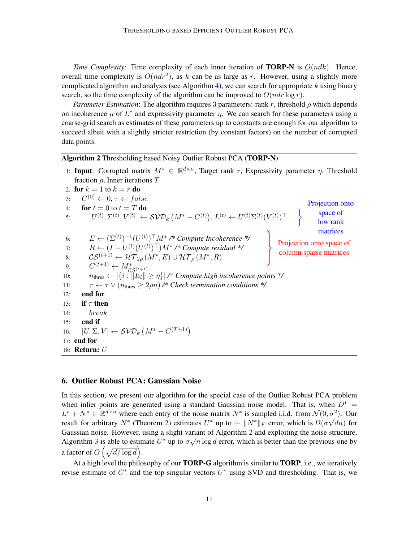*Time Complexity*: Time complexity of each inner iteration of **TORP-N** is  $O(ndk)$ . Hence, overall time complexity is  $O(ndr^2)$ , as k can be as large as r. However, using a slightly more complicated algorithm and analysis (see Algorithm [4\)](#page-32-0), we can search for appropriate  $k$  using binary search, so the time complexity of the algorithm can be improved to  $O(ndr \log r)$ .

*Parameter Estimation*: The algorithm requires 3 parameters: rank r, threshold  $\rho$  which depends on incoherence  $\mu$  of  $L^*$  and expressivity parameter  $\eta$ . We can search for these parameters using a coarse-grid search as estimates of these parameters up to constants are enough for our algorithm to succeed albeit with a slightly stricter restriction (by constant factors) on the number of corrupted data points.

# <span id="page-10-1"></span>Algorithm 2 Thresholding based Noisy Outlier Robust PCA (TORP-N)

1: Input: Corrupted matrix  $M^* \in \mathbb{R}^{d \times n}$ , Target rank r, Expressivity parameter  $\eta$ , Threshold fraction  $\rho$ , Inner iterations T

2: for  $k = 1$  to  $k = r$  do 3:  $C^{(0)} \leftarrow 0, \tau \leftarrow false$ 4: **for**  $t = 0$  to  $t = T$  **do** 5:  $[U^{(t)}, \Sigma^{(t)}, V^{(t)}] \leftarrow \mathcal{SVD}_k(M^* - C^{(t)}), L^{(t)} \leftarrow U^{(t)} \Sigma^{(t)} (V^{(t)})^\top$ Projection onto space of low rank matrices 6:  $E \leftarrow (\Sigma^{(t)})^{-1} (U^{(t)})^{\top} M^* \nrightarrow$  Compute Incoherence \*/ 7:  $R \leftarrow (I - U^{(t)} (U^{(t)})^{\top}) M^*$  /\* Compute residual \*/  $\mathcal{L}$  $\mathcal{L}$  $\int$ Projection onto space of 8:  $\mathcal{CS}^{(t+1)} \leftarrow \mathcal{HT}_{2\rho}(M^*, E) \cup \mathcal{HT}_{\rho}(M^*, R)$  column sparse matrices 9:  $C^{(t+1)} \leftarrow M^*_{\mathcal{CS}^{(t+1)}}$ 10:  $n_{\text{thres}} \leftarrow |\{i : ||E_i|| \geq \eta\}|$  /\* Compute high incoherence points \*/ 11:  $\tau \leftarrow \tau \vee (n_{\text{thres}} \geq 2\rho n)$  /\* Check termination conditions \*/ 12: end for 13: if  $\tau$  then 14: break 15: end if 16:  $[U, \Sigma, V] \leftarrow \mathcal{SVD}_k(M^* - C^{(T+1)})$ 17: end for 18: Return: U

#### <span id="page-10-0"></span>6. Outlier Robust PCA: Gaussian Noise

In this section, we present our algorithm for the special case of the Outlier Robust PCA problem when inlier points are generated using a standard Gaussian noise model. That is, when  $D^* =$  $L^* + N^* \in \mathbb{R}^{d \times n}$  where each entry of the noise matrix  $N^*$  is sampled i.i.d. from  $\mathcal{N}(0, \sigma^2)$ . Our result for arbitrary  $N^*$  (Theorem [2\)](#page-6-1) estimates  $U^*$  up to  $\sim \|N^*\|_F$  error, which is  $\Omega(\sigma\sqrt{dn})$  for Gaussian noise. However, using a slight variant of Algorithm [2](#page-10-1) and exploiting the noise structure, Algorithm [3](#page-11-0) is able to estimate  $U^*$  up to  $\sigma \sqrt{n \log d}$  error, which is better than the previous one by a factor of  $O\left(\sqrt{d/\log d}\right)$ .

At a high level the philosophy of our **TORP-G** algorithm is similar to **TORP**, i.e., we iteratively revise estimate of  $C^*$  and the top singular vectors  $U^*$  using SVD and thresholding. That is, we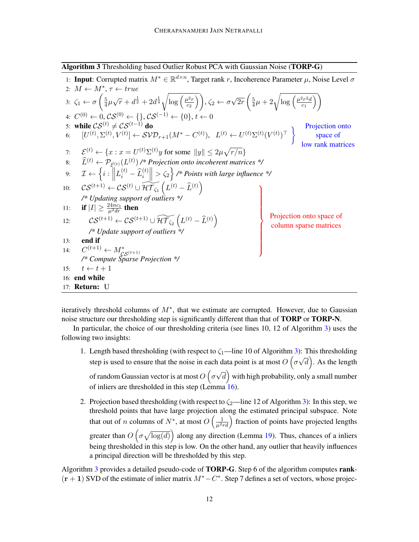<span id="page-11-0"></span>Algorithm 3 Thresholding based Outlier Robust PCA with Gaussian Noise (TORP-G)

|     | 1: <b>Input:</b> Corrupted matrix $M^* \in \mathbb{R}^{d \times n}$ , Target rank r, Incoherence Parameter $\mu$ , Noise Level $\sigma$                                                                                                                                               |                                                    |
|-----|---------------------------------------------------------------------------------------------------------------------------------------------------------------------------------------------------------------------------------------------------------------------------------------|----------------------------------------------------|
|     | 2: $M \leftarrow M^*, \tau \leftarrow true$                                                                                                                                                                                                                                           |                                                    |
|     | 3: $\zeta_1 \leftarrow \sigma \left( \frac{5}{4} \mu \sqrt{r} + d^{\frac{1}{2}} + 2d^{\frac{1}{4}} \sqrt{\log \left( \frac{\mu^2 r}{c_2} \right)} \right), \zeta_2 \leftarrow \sigma \sqrt{2r} \left( \frac{5}{4} \mu + 2 \sqrt{\log \left( \frac{\mu^2 r^2 d}{c_1} \right)} \right)$ |                                                    |
|     | 4: $C^{(0)} \leftarrow 0, \mathcal{CS}^{(0)} \leftarrow \{\}, \mathcal{CS}^{(-1)} \leftarrow \{0\}, t \leftarrow 0$                                                                                                                                                                   |                                                    |
|     | 5: while $CS^{(t)} \neq CS^{(t-1)}$ do                                                                                                                                                                                                                                                | Projection onto                                    |
| 6:  | $\big[U^{(t)},\Sigma^{(t)},V^{(t)}\big] \leftarrow \mathcal{SVD}_{r+1}(M^*-C^{(t)}),\;\; L^{(t)} \leftarrow U^{(t)}\Sigma^{(t)}(V^{(t)})^\top\;\; \Big\}$                                                                                                                             | space of                                           |
|     |                                                                                                                                                                                                                                                                                       | low rank matrices                                  |
| 7:  | $\mathcal{E}^{(t)} \leftarrow \{x : x = U^{(t)}\Sigma^{(t)}y \text{ for some }   y   \leq 2\mu\sqrt{r/n}\}$                                                                                                                                                                           |                                                    |
| 8:  | $\widehat{L}^{(t)} \leftarrow \mathcal{P}_{\mathcal{E}^{(t)}}(L^{(t)})$ /* Projection onto incoherent matrices */                                                                                                                                                                     |                                                    |
|     | 9: $\mathcal{I} \leftarrow \left\{ i : \left\  L_i^{(t)} - \widehat{L}_i^{(t)} \right\  > \zeta_2 \right\}$ /* Points with large influence */                                                                                                                                         |                                                    |
| 10: | $\mathcal{CS}^{(t+1)} \leftarrow \mathcal{CS}^{(t)} \cup \widetilde{\mathcal{HT}_{\zeta_1}}\left(L^{(t)}-\widehat{L}^{(t)}\right)$                                                                                                                                                    |                                                    |
|     | /* Updating support of outliers */                                                                                                                                                                                                                                                    |                                                    |
| 11: | <b>if</b> $ I  \geq \frac{24nc_1}{\mu^2 dr}$ then                                                                                                                                                                                                                                     |                                                    |
| 12: | $\mathcal{CS}^{(t+1)} \leftarrow \mathcal{CS}^{(t+1)} \cup \widetilde{\mathcal{HT}_{\zeta_2}}\left(L^{(t)} - \widehat{L}^{(t)}\right)$                                                                                                                                                | Projection onto space of<br>column sparse matrices |
|     | /* Update support of outliers $*/$                                                                                                                                                                                                                                                    |                                                    |
| 13: | end if                                                                                                                                                                                                                                                                                |                                                    |
| 14: | $C^{(t+1)} \leftarrow M^*_{\mathcal{CS}^{(t+1)}}$                                                                                                                                                                                                                                     |                                                    |
|     | /* Compute Sparse Projection */                                                                                                                                                                                                                                                       |                                                    |
| 15: | $t \leftarrow t + 1$                                                                                                                                                                                                                                                                  |                                                    |
|     | 16: end while                                                                                                                                                                                                                                                                         |                                                    |
|     | 17: <b>Return:</b> U                                                                                                                                                                                                                                                                  |                                                    |

iteratively threshold columns of  $M^*$ , that we estimate are corrupted. However, due to Gaussian noise structure our thresholding step is significantly different than that of **TORP** or **TORP-N**.

In particular, the choice of our thresholding criteria (see lines 10, 12 of Algorithm [3\)](#page-11-0) uses the following two insights:

- 1. Length based thresholding (with respect to  $\zeta_1$ —line 10 of Algorithm [3\)](#page-11-0): This thresholding step is used to ensure that the noise in each data point is at most  $O(\sigma)$ √  $\overline{d}$ ). As the length of random Gaussian vector is at most  $O\left(\sigma\right)$ √  $\overline{d} \big)$  with high probability, only a small number of inliers are thresholded in this step (Lemma [16\)](#page-20-0).
- 2. Projection based thresholding (with respect to  $\zeta_2$ —line 12 of Algorithm [3\)](#page-11-0): In this step, we threshold points that have large projection along the estimated principal subspace. Note that out of *n* columns of  $N^*$ , at most  $O\left(\frac{1}{\mu^2 r d}\right)$  fraction of points have projected lengths greater than  $O\left(\sigma \sqrt{\log(d)}\right)$  along any direction (Lemma [19\)](#page-25-0). Thus, chances of a inliers being thresholded in this step is low. On the other hand, any outlier that heavily influences a principal direction will be thresholded by this step.

Algorithm [3](#page-11-0) provides a detailed pseudo-code of TORP-G. Step 6 of the algorithm computes rank-  $(r + 1)$  SVD of the estimate of inlier matrix  $M^* - C^*$ . Step 7 defines a set of vectors, whose projec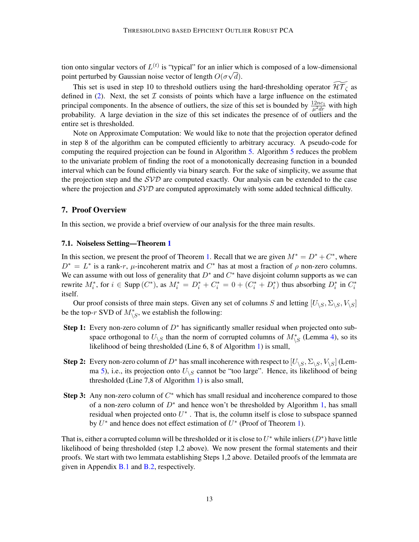tion onto singular vectors of  $L^{(t)}$  is "typical" for an inlier which is composed of a low-dimensional point perturbed by Gaussian noise vector of length  $O(\sigma\sqrt{d})$ .

This set is used in step 10 to threshold outliers using the hard-thresholding operator  $\widetilde{\mathcal{HT}}_{\zeta}$  as defined in [\(2\)](#page-4-0). Next, the set  $I$  consists of points which have a large influence on the estimated principal components. In the absence of outliers, the size of this set is bounded by  $\frac{12nc_1}{\mu^2 dr}$  with high probability. A large deviation in the size of this set indicates the presence of of outliers and the entire set is thresholded.

Note on Approximate Computation: We would like to note that the projection operator defined in step 8 of the algorithm can be computed efficiently to arbitrary accuracy. A pseudo-code for computing the required projection can be found in Algorithm [5.](#page-34-0) Algorithm [5](#page-34-0) reduces the problem to the univariate problem of finding the root of a monotonically decreasing function in a bounded interval which can be found efficiently via binary search. For the sake of simplicity, we assume that the projection step and the  $SVD$  are computed exactly. Our analysis can be extended to the case where the projection and  $SVD$  are computed approximately with some added technical difficulty.

### <span id="page-12-0"></span>7. Proof Overview

In this section, we provide a brief overview of our analysis for the three main results.

#### 7.1. Noiseless Setting—Theorem [1](#page-6-0)

In this section, we present the proof of Theorem [1.](#page-6-0) Recall that we are given  $M^* = D^* + C^*$ , where  $D^* = L^*$  is a rank-r,  $\mu$ -incoherent matrix and  $C^*$  has at most a fraction of  $\rho$  non-zero columns. We can assume with out loss of generality that  $D^*$  and  $C^*$  have disjoint column supports as we can rewrite  $M_i^*$ , for  $i \in \text{Supp}(C^*)$ , as  $M_i^* = D_i^* + C_i^* = 0 + (C_i^* + D_i^*)$  thus absorbing  $D_i^*$  in  $C_i^*$ itself.

Our proof consists of three main steps. Given any set of columns S and letting  $[U_{\setminus S}, \Sigma_{\setminus S}, V_{\setminus S}]$ be the top-r SVD of  $M^*_{\backslash S}$ , we establish the following:

- Step 1: Every non-zero column of  $D^*$  has significantly smaller residual when projected onto subspace orthogonal to  $U_{\backslash S}$  than the norm of corrupted columns of  $M^*_{\backslash S}$  (Lemma [4\)](#page-12-1), so its likelihood of being thresholded (Line 6, 8 of Algorithm [1\)](#page-9-0) is small,
- Step 2: Every non-zero column of  $D^*$  has small incoherence with respect to  $[U_{\setminus S}, \Sigma_{\setminus S}, V_{\setminus S}]$  (Lem-ma [5\)](#page-13-0), i.e., its projection onto  $U_{\backslash S}$  cannot be "too large". Hence, its likelihood of being thresholded (Line 7,8 of Algorithm [1\)](#page-9-0) is also small,
- Step 3: Any non-zero column of  $C^*$  which has small residual and incoherence compared to those of a non-zero column of  $D^*$  and hence won't be thresholded by Algorithm [1,](#page-9-0) has small residual when projected onto  $U^*$ . That is, the column itself is close to subspace spanned by  $U^*$  and hence does not effect estimation of  $U^*$  (Proof of Theorem [1\)](#page-6-0).

<span id="page-12-1"></span>That is, either a corrupted column will be thresholded or it is close to  $U^*$  while inliers  $(D^*)$  have little likelihood of being thresholded (step 1,2 above). We now present the formal statements and their proofs. We start with two lemmata establishing Steps 1,2 above. Detailed proofs of the lemmata are given in Appendix [B.1](#page-21-0) and [B.2,](#page-21-1) respectively.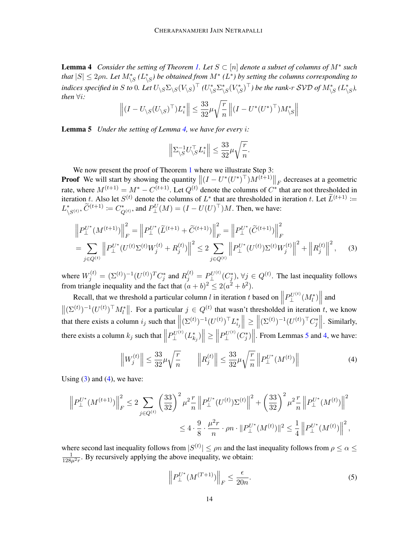**Lemma 4** Consider the setting of Theorem [1.](#page-6-0) Let  $S \subset [n]$  denote a subset of columns of  $M^*$  such *that*  $|S| \leq 2\rho n$ . Let  $M^*_{\setminus S}$  ( $L^*_{\setminus S}$ ) be obtained from  $M^*$  ( $L^*$ ) by setting the columns corresponding to indices specified in  $S$  to  $0$ . Let  $U_{\backslash S} \Sigma_{\backslash S} (V_{\backslash S})^\top$  ( $U_{\backslash S}^* \Sigma_{\backslash S}^* (V_{\backslash S}^*)^\top$ ) be the rank-r SVD of  $M_{\backslash S}^*$  ( $L_{\backslash S}^*$ ), *then* ∀i*:*

$$
\left\| \left(I - U_{\backslash S}(U_{\backslash S})^{\top}\right) L_i^* \right\| \leq \frac{33}{32} \mu \sqrt{\frac{r}{n}} \left\| \left(I - U^*(U^*)^{\top}\right) M_{\backslash S}^* \right\|
$$

<span id="page-13-0"></span>Lemma 5 *Under the setting of Lemma [4,](#page-12-1) we have for every* i*:*

<span id="page-13-1"></span>
$$
\left\|\Sigma_{\backslash S}^{-1}U_{\backslash S}^{\top}L_{i}^{*}\right\|\leq\frac{33}{32}\mu\sqrt{\frac{r}{n}}.
$$

We now present the proof of Theorem [1](#page-6-0) where we illustrate Step 3:

**Proof** We will start by showing the quantity  $||(I - U^*(U^*)^{\top})M^{(t+1)}||_F$  decreases at a geometric rate, where  $M^{(t+1)} = M^* - C^{(t+1)}$ . Let  $Q^{(t)}$  denote the columns of  $C^*$  that are not thresholded in iteration t. Also let  $S^{(t)}$  denote the columns of  $L^*$  that are thresholded in iteration t. Let  $\widetilde{L}^{(t+1)} :=$  $L^*_{\setminus S^{(t)}}, \widetilde{C}^{(t+1)} \coloneqq C^*_{Q^{(t)}},$  and  $P_{\perp}^U(M) = (I - U(U)^{\top})M$ . Then, we have:

$$
\left\| P_{\perp}^{U^*} (M^{(t+1)}) \right\|_F^2 = \left\| P_{\perp}^{U^*} (\widetilde{L}^{(t+1)} + \widetilde{C}^{(t+1)}) \right\|_F^2 = \left\| P_{\perp}^{U^*} (\widetilde{C}^{(t+1)}) \right\|_F^2
$$
  
= 
$$
\sum_{j \in Q^{(t)}} \left\| P_{\perp}^{U^*} (U^{(t)} \Sigma^{(t)} W_j^{(t)} + R_j^{(t)}) \right\|^2 \le 2 \sum_{j \in Q^{(t)}} \left\| P_{\perp}^{U^*} (U^{(t)}) \Sigma^{(t)} W_j^{(t)} \right\|^2 + \left\| R_j^{(t)} \right\|^2, \tag{3}
$$

where  $W_j^{(t)} = (\Sigma^{(t)})^{-1} (U^{(t)})^T C_j^*$  and  $R_j^{(t)} = P_{\perp}^{U^{(t)}}(C_j^*)$ ,  $\forall j \in Q^{(t)}$ . The last inequality follows from triangle inequality and the fact that  $(a + b)^2 \le 2(a^2 + b^2)$ .

Recall, that we threshold a particular column  $l$  in iteration  $t$  based on  $\left\|P_{{\rm L}}^{U^{(t)}}(M_{l}^{*})\right\|$  and  $\|\perp\|$   $\|\perp\|$  $\|(\Sigma^{(t)})^{-1}(U^{(t)})^{\top}M_t^*\|$ . For a particular  $j \in Q^{(t)}$  that wasn't thresholded in iteration t, we know that there exists a column  $i_j$  such that  $\left\| (\Sigma^{(t)})^{-1} (U^{(t)})^\top L_{i_j}^* \right\| \ge \left\| (\Sigma^{(t)})^{-1} (U^{(t)})^\top C_j^* \right\|$ . Similarly, there exists a column  $k_j$  such that  $\parallel$  $P_{\perp}^{U^{(t)}}(L_{k_j}^*)\Big\| \ge \Big\|$  $P_{\perp}^{U^{(t)}}(C_{j}^{*})$ . From Lemmas [5](#page-13-0) and [4,](#page-12-1) we have:

<span id="page-13-2"></span>
$$
\left\|W_j^{(t)}\right\| \le \frac{33}{32} \mu \sqrt{\frac{r}{n}} \qquad \left\|R_j^{(t)}\right\| \le \frac{33}{32} \mu \sqrt{\frac{r}{n}} \left\|P_{\perp}^{U^*}(M^{(t)})\right\| \tag{4}
$$

Using  $(3)$  and  $(4)$ , we have:

$$
\left\| P_{\perp}^{U^*} (M^{(t+1)}) \right\|_F^2 \le 2 \sum_{j \in Q^{(t)}} \left( \frac{33}{32} \right)^2 \mu^2 \frac{r}{n} \left\| P_{\perp}^{U^*} (U^{(t)}) \Sigma^{(t)} \right\|^2 + \left( \frac{33}{32} \right)^2 \mu^2 \frac{r}{n} \left\| P_{\perp}^{U^*} (M^{(t)}) \right\|^2
$$
  

$$
\le 4 \cdot \frac{9}{8} \cdot \frac{\mu^2 r}{n} \cdot \rho n \cdot \| P_{\perp}^{U^*} (M^{(t)}) \|^2 \le \frac{1}{4} \left\| P_{\perp}^{U^*} (M^{(t)}) \right\|^2,
$$

where second last inequality follows from  $|S^{(t)}| \le \rho n$  and the last inequality follows from  $\rho \le \alpha \le$  $\frac{1}{128\mu^2 r}$ . By recursively applying the above inequality, we obtain:

<span id="page-13-3"></span>
$$
\left\| P_{\perp}^{U^*} (M^{(T+1)}) \right\|_F \le \frac{\epsilon}{20n}.\tag{5}
$$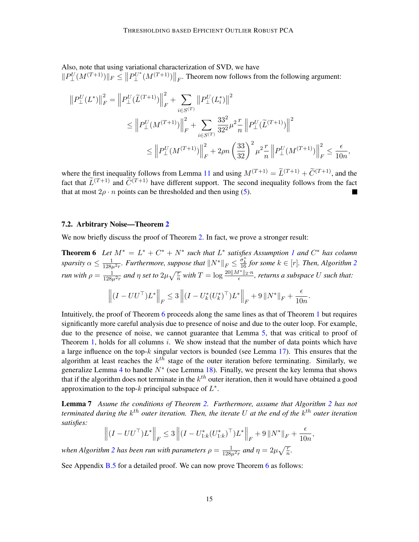Also, note that using variational characterization of SVD, we have  $||P_{\perp}^{U}(M^{(T+1)})||_F \leq ||P_{\perp}^{U^*}(M^{(T+1)})||_F$ . Theorem now follows from the following argument:

$$
||P_{\perp}^{U}(L^{*})||_{F}^{2} = ||P_{\perp}^{U}(\widetilde{L}^{(T+1)})||_{F}^{2} + \sum_{i \in S^{(T)}} ||P_{\perp}^{U}(L_{i}^{*})||^{2}
$$
  
\n
$$
\leq ||P_{\perp}^{U}(M^{(T+1)})||_{F}^{2} + \sum_{i \in S^{(T)}} \frac{33^{2}}{32^{2}} \mu^{2} \frac{r}{n} ||P_{\perp}^{U}(\widetilde{L}^{(T+1)})||^{2}
$$
  
\n
$$
\leq ||P_{\perp}^{U}(M^{(T+1)})||_{F}^{2} + 2\rho n \left(\frac{33}{32}\right)^{2} \mu^{2} \frac{r}{n} ||P_{\perp}^{U}(M^{(T+1)})||_{F}^{2} \leq \frac{\epsilon}{10n},
$$

where the first inequality follows from Lemma [11](#page-18-0) and using  $M^{(T+1)} = \tilde{L}^{(T+1)} + \tilde{C}^{(T+1)}$ , and the fact that  $\widetilde{L}^{(T+1)}$  and  $\widetilde{C}^{(T+1)}$  have different support. The second inequality follows from the fact that at most  $2\rho \cdot n$  points can be thresholded and then using [\(5\)](#page-13-3).

#### 7.2. Arbitrary Noise—Theorem [2](#page-6-1)

We now briefly discuss the proof of Theorem [2.](#page-6-1) In fact, we prove a stronger result:

**Theorem 6** Let  $M^* = L^* + C^* + N^*$  such that  $L^*$  satisfies Assumption [1](#page-5-0) and  $C^*$  has column  $s$ *parsity*  $\alpha \leq \frac{1}{128\mu^2 r}$  $\alpha \leq \frac{1}{128\mu^2 r}$  $\alpha \leq \frac{1}{128\mu^2 r}$ *. Furthermore, suppose that*  $||N^*||_F \leq \frac{\sigma_k^*}{16}$  for some  $k \in [r]$ *. Then, Algorithm* 2 *run with*  $\rho = \frac{1}{128\mu^2 r}$  and  $\eta$  set to  $2\mu\sqrt{\frac{r}{n}}$  with  $T = \log \frac{20||M^*||_2 \cdot n}{\epsilon}$ , returns a subspace U such that:

$$
\left\| \left(I - UU^\top\right) L^* \right\|_F \leq 3 \left\| \left(I - U_k^*(U_k^*)^\top\right) L^* \right\|_F + 9 \left\| N^* \right\|_F + \frac{\epsilon}{10n}
$$

<span id="page-14-1"></span><span id="page-14-0"></span>.

Intuitively, the proof of Theorem [6](#page-14-0) proceeds along the same lines as that of Theorem [1](#page-6-0) but requires significantly more careful analysis due to presence of noise and due to the outer loop. For example, due to the presence of noise, we cannot guarantee that Lemma [5,](#page-13-0) that was critical to proof of Theorem [1,](#page-6-0) holds for all columns  $i$ . We show instead that the number of data points which have a large influence on the top- $k$  singular vectors is bounded (see Lemma [17\)](#page-21-2). This ensures that the algorithm at least reaches the  $k^{th}$  stage of the outer iteration before terminating. Similarly, we generalize Lemma [4](#page-12-1) to handle  $N^*$  (see Lemma [18\)](#page-22-0). Finally, we present the key lemma that shows that if the algorithm does not terminate in the  $k^{th}$  outer iteration, then it would have obtained a good approximation to the top- $k$  principal subspace of  $L^*$ .

Lemma 7 *Asume the conditions of Theorem [2.](#page-6-1) Furthermore, assume that Algorithm [2](#page-10-1) has not* terminated during the  $k^{th}$  outer iteration. Then, the iterate U at the end of the  $k^{th}$  outer iteration *satisfies:*

$$
\left\| (I - U U^{\top}) L^* \right\|_F \le 3 \left\| (I - U_{1:k}^*(U_{1:k}^*)^{\top}) L^* \right\|_F + 9 \left\| N^* \right\|_F + \frac{\epsilon}{10n},
$$

when Algorithm [2](#page-10-1) has been run with parameters  $\rho = \frac{1}{128\mu^2 r}$  and  $\eta = 2\mu\sqrt{\frac{r}{n}}$ .

See Appendix [B.5](#page-23-0) for a detailed proof. We can now prove Theorem [6](#page-14-0) as follows: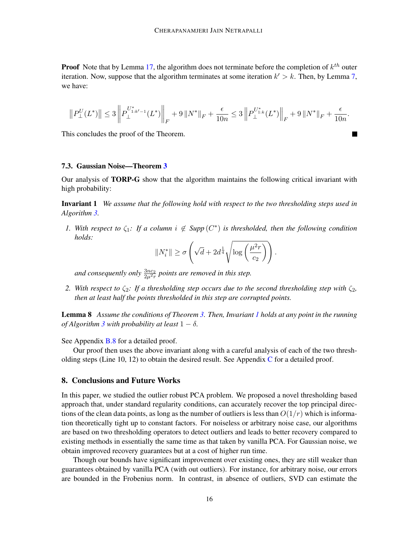**Proof** Note that by Lemma [17,](#page-21-2) the algorithm does not terminate before the completion of  $k^{th}$  outer iteration. Now, suppose that the algorithm terminates at some iteration  $k' > k$ . Then, by Lemma [7,](#page-14-1) we have:

$$
\left\|P_{\perp}^{U}(L^{*})\right\| \leq 3\left\|P_{\perp}^{U^{*}_{1:k'-1}}(L^{*})\right\|_{F} + 9\left\|N^{*}\right\|_{F} + \frac{\epsilon}{10n} \leq 3\left\|P_{\perp}^{U^{*}_{1:k}}(L^{*})\right\|_{F} + 9\left\|N^{*}\right\|_{F} + \frac{\epsilon}{10n}.
$$

 $\mathcal{L}$ 

This concludes the proof of the Theorem.

## 7.3. Gaussian Noise—Theorem [3](#page-7-1)

<span id="page-15-1"></span>Our analysis of TORP-G show that the algorithm maintains the following critical invariant with high probability:

Invariant 1 *We assume that the following hold with respect to the two thresholding steps used in Algorithm [3.](#page-11-0)*

*1.* With respect to  $\zeta_1$ : If a column  $i \notin \text{Supp}(C^*)$  is thresholded, then the following condition *holds:*

$$
||N_i^*|| \ge \sigma \left(\sqrt{d} + 2d^{\frac{1}{4}}\sqrt{\log\left(\frac{\mu^2 r}{c_2}\right)}\right).
$$

and consequently only  $\frac{3nc_2}{2\mu^2r}$  points are removed in this step.

*2.* With respect to  $\zeta_2$ : If a thresholding step occurs due to the second thresholding step with  $\zeta_2$ , *then at least half the points thresholded in this step are corrupted points.*

<span id="page-15-2"></span>Lemma 8 *Assume the conditions of Theorem [3.](#page-7-1) Then, Invariant [1](#page-15-1) holds at any point in the running of Algorithm*  $3$  *with probability at least*  $1 - \delta$ *.* 

See Appendix **[B.8](#page-28-0)** for a detailed proof.

Our proof then uses the above invariant along with a careful analysis of each of the two thresholding steps (Line 10, 12) to obtain the desired result. See Appendix  $C$  for a detailed proof.

# <span id="page-15-0"></span>8. Conclusions and Future Works

In this paper, we studied the outlier robust PCA problem. We proposed a novel thresholding based approach that, under standard regularity conditions, can accurately recover the top principal directions of the clean data points, as long as the number of outliers is less than  $O(1/r)$  which is information theoretically tight up to constant factors. For noiseless or arbitrary noise case, our algorithms are based on two thresholding operators to detect outliers and leads to better recovery compared to existing methods in essentially the same time as that taken by vanilla PCA. For Gaussian noise, we obtain improved recovery guarantees but at a cost of higher run time.

Though our bounds have significant improvement over existing ones, they are still weaker than guarantees obtained by vanilla PCA (with out outliers). For instance, for arbitrary noise, our errors are bounded in the Frobenius norm. In contrast, in absence of outliers, SVD can estimate the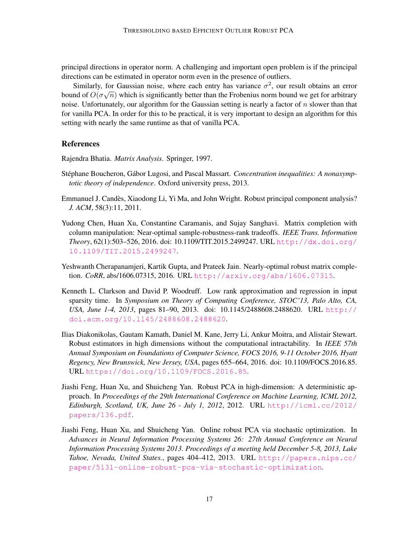principal directions in operator norm. A challenging and important open problem is if the principal directions can be estimated in operator norm even in the presence of outliers.

Similarly, for Gaussian noise, where each entry has variance  $\sigma^2$ , our result obtains an error bound of  $O(\sigma\sqrt{n})$  which is significantly better than the Frobenius norm bound we get for arbitrary noise. Unfortunately, our algorithm for the Gaussian setting is nearly a factor of  $n$  slower than that for vanilla PCA. In order for this to be practical, it is very important to design an algorithm for this setting with nearly the same runtime as that of vanilla PCA.

### References

<span id="page-16-7"></span>Rajendra Bhatia. *Matrix Analysis*. Springer, 1997.

- <span id="page-16-8"></span>Stéphane Boucheron, Gábor Lugosi, and Pascal Massart. *Concentration inequalities: A nonasymptotic theory of independence*. Oxford university press, 2013.
- <span id="page-16-5"></span>Emmanuel J. Candes, Xiaodong Li, Yi Ma, and John Wright. Robust principal component analysis? ` *J. ACM*, 58(3):11, 2011.
- <span id="page-16-1"></span>Yudong Chen, Huan Xu, Constantine Caramanis, and Sujay Sanghavi. Matrix completion with column manipulation: Near-optimal sample-robustness-rank tradeoffs. *IEEE Trans. Information Theory*, 62(1):503–526, 2016. doi: 10.1109/TIT.2015.2499247. URL [http://dx.doi.org/](http://dx.doi.org/10.1109/TIT.2015.2499247) [10.1109/TIT.2015.2499247](http://dx.doi.org/10.1109/TIT.2015.2499247).
- <span id="page-16-6"></span>Yeshwanth Cherapanamjeri, Kartik Gupta, and Prateek Jain. Nearly-optimal robust matrix completion. *CoRR*, abs/1606.07315, 2016. URL <http://arxiv.org/abs/1606.07315>.
- <span id="page-16-0"></span>Kenneth L. Clarkson and David P. Woodruff. Low rank approximation and regression in input sparsity time. In *Symposium on Theory of Computing Conference, STOC'13, Palo Alto, CA, USA, June 1-4, 2013*, pages 81–90, 2013. doi: 10.1145/2488608.2488620. URL [http://](http://doi.acm.org/10.1145/2488608.2488620) [doi.acm.org/10.1145/2488608.2488620](http://doi.acm.org/10.1145/2488608.2488620).
- <span id="page-16-4"></span>Ilias Diakonikolas, Gautam Kamath, Daniel M. Kane, Jerry Li, Ankur Moitra, and Alistair Stewart. Robust estimators in high dimensions without the computational intractability. In *IEEE 57th Annual Symposium on Foundations of Computer Science, FOCS 2016, 9-11 October 2016, Hyatt Regency, New Brunswick, New Jersey, USA*, pages 655–664, 2016. doi: 10.1109/FOCS.2016.85. URL <https://doi.org/10.1109/FOCS.2016.85>.
- <span id="page-16-3"></span>Jiashi Feng, Huan Xu, and Shuicheng Yan. Robust PCA in high-dimension: A deterministic approach. In *Proceedings of the 29th International Conference on Machine Learning, ICML 2012, Edinburgh, Scotland, UK, June 26 - July 1, 2012*, 2012. URL [http://icml.cc/2012/](http://icml.cc/2012/papers/136.pdf) [papers/136.pdf](http://icml.cc/2012/papers/136.pdf).
- <span id="page-16-2"></span>Jiashi Feng, Huan Xu, and Shuicheng Yan. Online robust PCA via stochastic optimization. In *Advances in Neural Information Processing Systems 26: 27th Annual Conference on Neural Information Processing Systems 2013. Proceedings of a meeting held December 5-8, 2013, Lake Tahoe, Nevada, United States.*, pages 404–412, 2013. URL [http://papers.nips.cc/](http://papers.nips.cc/paper/5131-online-robust-pca-via-stochastic-optimization) [paper/5131-online-robust-pca-via-stochastic-optimization](http://papers.nips.cc/paper/5131-online-robust-pca-via-stochastic-optimization).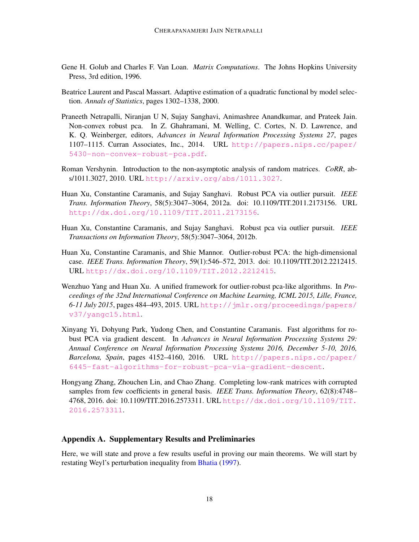- <span id="page-17-3"></span>Gene H. Golub and Charles F. Van Loan. *Matrix Computations*. The Johns Hopkins University Press, 3rd edition, 1996.
- <span id="page-17-8"></span>Beatrice Laurent and Pascal Massart. Adaptive estimation of a quadratic functional by model selection. *Annals of Statistics*, pages 1302–1338, 2000.
- <span id="page-17-6"></span>Praneeth Netrapalli, Niranjan U N, Sujay Sanghavi, Animashree Anandkumar, and Prateek Jain. Non-convex robust pca. In Z. Ghahramani, M. Welling, C. Cortes, N. D. Lawrence, and K. Q. Weinberger, editors, *Advances in Neural Information Processing Systems 27*, pages 1107–1115. Curran Associates, Inc., 2014. URL [http://papers.nips.cc/paper/](http://papers.nips.cc/paper/5430-non-convex-robust-pca.pdf) [5430-non-convex-robust-pca.pdf](http://papers.nips.cc/paper/5430-non-convex-robust-pca.pdf).
- <span id="page-17-9"></span>Roman Vershynin. Introduction to the non-asymptotic analysis of random matrices. *CoRR*, abs/1011.3027, 2010. URL <http://arxiv.org/abs/1011.3027>.
- <span id="page-17-0"></span>Huan Xu, Constantine Caramanis, and Sujay Sanghavi. Robust PCA via outlier pursuit. *IEEE Trans. Information Theory*, 58(5):3047–3064, 2012a. doi: 10.1109/TIT.2011.2173156. URL <http://dx.doi.org/10.1109/TIT.2011.2173156>.
- <span id="page-17-4"></span>Huan Xu, Constantine Caramanis, and Sujay Sanghavi. Robust pca via outlier pursuit. *IEEE Transactions on Information Theory*, 58(5):3047–3064, 2012b.
- <span id="page-17-2"></span>Huan Xu, Constantine Caramanis, and Shie Mannor. Outlier-robust PCA: the high-dimensional case. *IEEE Trans. Information Theory*, 59(1):546–572, 2013. doi: 10.1109/TIT.2012.2212415. URL <http://dx.doi.org/10.1109/TIT.2012.2212415>.
- <span id="page-17-5"></span>Wenzhuo Yang and Huan Xu. A unified framework for outlier-robust pca-like algorithms. In *Proceedings of the 32nd International Conference on Machine Learning, ICML 2015, Lille, France, 6-11 July 2015*, pages 484–493, 2015. URL [http://jmlr.org/proceedings/papers/](http://jmlr.org/proceedings/papers/v37/yangc15.html) [v37/yangc15.html](http://jmlr.org/proceedings/papers/v37/yangc15.html).
- <span id="page-17-7"></span>Xinyang Yi, Dohyung Park, Yudong Chen, and Constantine Caramanis. Fast algorithms for robust PCA via gradient descent. In *Advances in Neural Information Processing Systems 29: Annual Conference on Neural Information Processing Systems 2016, December 5-10, 2016, Barcelona, Spain*, pages 4152–4160, 2016. URL [http://papers.nips.cc/paper/](http://papers.nips.cc/paper/6445-fast-algorithms-for-robust-pca-via-gradient-descent) [6445-fast-algorithms-for-robust-pca-via-gradient-descent](http://papers.nips.cc/paper/6445-fast-algorithms-for-robust-pca-via-gradient-descent).
- <span id="page-17-1"></span>Hongyang Zhang, Zhouchen Lin, and Chao Zhang. Completing low-rank matrices with corrupted samples from few coefficients in general basis. *IEEE Trans. Information Theory*, 62(8):4748– 4768, 2016. doi: 10.1109/TIT.2016.2573311. URL [http://dx.doi.org/10.1109/TIT.](http://dx.doi.org/10.1109/TIT.2016.2573311) [2016.2573311](http://dx.doi.org/10.1109/TIT.2016.2573311).

### Appendix A. Supplementary Results and Preliminaries

<span id="page-17-10"></span>Here, we will state and prove a few results useful in proving our main theorems. We will start by restating Weyl's perturbation inequality from [Bhatia](#page-16-7) [\(1997\)](#page-16-7).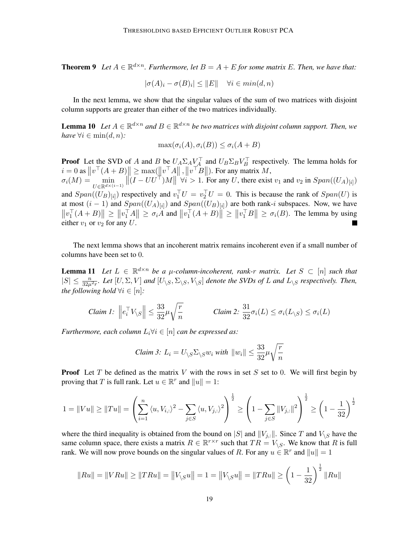**Theorem 9** Let  $A \in \mathbb{R}^{d \times n}$ . Furthermore, let  $B = A + E$  for some matrix E. Then, we have that:

$$
|\sigma(A)_i - \sigma(B)_i| \le ||E|| \quad \forall i \in min(d, n)
$$

In the next lemma, we show that the singular values of the sum of two matrices with disjoint column supports are greater than either of the two matrices individually.

<span id="page-18-1"></span>**Lemma 10** Let  $A \in \mathbb{R}^{d \times n}$  and  $B \in \mathbb{R}^{d \times n}$  be two matrices with disjoint column support. Then, we *have*  $\forall i \in \min(d, n)$ *:* 

$$
\max(\sigma_i(A), \sigma_i(B)) \le \sigma_i(A + B)
$$

**Proof** Let the SVD of A and B be  $U_A \Sigma_A V_A^{\top}$  and  $U_B \Sigma_B V_B^{\top}$  respectively. The lemma holds for  $i = 0$  as  $\left\|v^\top (A + B)\right\| \ge \max(\left\|v^\top A\right\|, \left\|v^\top B\right\|).$  For any matrix  $M$ ,  $\sigma_i(M) = \min_{U \in \mathbb{R}^{d \times (i-1)}}$  $\|(I - U U^{\dagger})M\| \forall i > 1$ . For any U, there exist  $v_1$  and  $v_2$  in  $Span((U_A)_{[i]})$ and  $Span((U_B)_{[i]})$  respectively and  $v_1^\top U = v_2^\top U = 0$ . This is because the rank of  $Span(U)$  is at most  $(i-1)$  and  $Span((U_A)_{[i]})$  and  $Span((U_B)_{[i]})$  are both rank-*i* subspaces. Now, we have  $||v_1^\top (A+B)|| \ge ||v_1^\top A|| \ge \sigma_i A$  and  $||v_1^\top (A+B)|| \ge ||v_1^\top B|| \ge \sigma_i(B)$ . The lemma by using either  $v_1$  or  $v_2$  for any U.

The next lemma shows that an incoherent matrix remains incoherent even if a small number of columns have been set to 0.

<span id="page-18-0"></span>**Lemma 11** Let  $L \in \mathbb{R}^{d \times n}$  be a  $\mu$ -column-incoherent, rank-r matrix. Let  $S \subset [n]$  such that  $|S| \leq \frac{n}{32\mu^2r}$ . Let  $[U, \Sigma, V]$  and  $[U_{\setminus S}, \Sigma_{\setminus S}, V_{\setminus S}]$  denote the SVDs of L and  $L_{\setminus S}$  respectively. Then, *the following hold*  $\forall i \in [n]$ *:* 

$$
Claim\ 1: \ \left\|e_i^\top V_{\setminus S}\right\| \le \frac{33}{32}\mu\sqrt{\frac{r}{n}} \qquad \qquad Claim\ 2: \ \frac{31}{32}\sigma_i(L) \le \sigma_i(L_{\setminus S}) \le \sigma_i(L)
$$

*Furthermore, each column*  $L_i \forall i \in [n]$  *can be expressed as:* 

Claim 3: 
$$
L_i = U_{\backslash S} \Sigma_{\backslash S} w_i
$$
 with  $||w_i|| \leq \frac{33}{32} \mu \sqrt{\frac{r}{n}}$ 

**Proof** Let T be defined as the matrix V with the rows in set S set to 0. We will first begin by proving that T is full rank. Let  $u \in \mathbb{R}^r$  and  $||u|| = 1$ :

$$
1 = \|Vu\| \ge \|Tu\| = \left(\sum_{i=1}^{n} \langle u, V_{i,:} \rangle^{2} - \sum_{j \in S} \langle u, V_{j,:} \rangle^{2}\right)^{\frac{1}{2}} \ge \left(1 - \sum_{j \in S} \|V_{j,:}\|^{2}\right)^{\frac{1}{2}} \ge \left(1 - \frac{1}{32}\right)^{\frac{1}{2}}
$$

where the third inequality is obtained from the bound on |S| and  $||V_{j,:}||$ . Since T and  $V_{\backslash S}$  have the same column space, there exists a matrix  $R \in \mathbb{R}^{r \times r}$  such that  $TR = V_{\setminus S}$ . We know that R is full rank. We will now prove bounds on the singular values of R. For any  $u \in \mathbb{R}^r$  and  $||u|| = 1$ 

$$
||Ru|| = ||VRu|| \ge ||TRu|| = ||V_{\setminus S}u|| = 1 = ||V_{\setminus S}u|| = ||TRu|| \ge \left(1 - \frac{1}{32}\right)^{\frac{1}{2}} ||Ru||
$$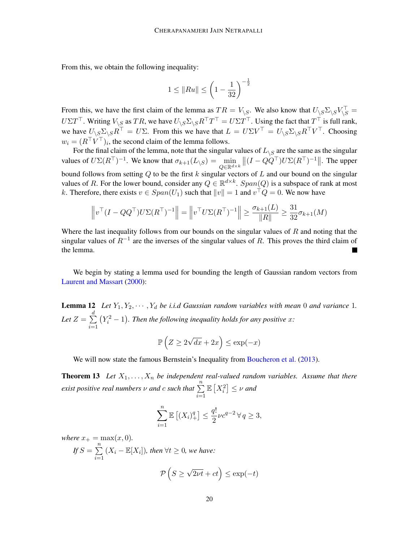From this, we obtain the following inequality:

$$
1 \le ||Ru|| \le \left(1 - \frac{1}{32}\right)^{-\frac{1}{2}}
$$

From this, we have the first claim of the lemma as  $TR = V_{\setminus S}$ . We also know that  $U_{\setminus S} \Sigma_{\setminus S} V_{\setminus S}^{\top} =$  $U\Sigma T^{\top}$ . Writing  $V_{\backslash S}$  as  $TR$ , we have  $U_{\backslash S}\Sigma_{\backslash S}R^{\top}T^{\top}=U\Sigma T^{\top}$ . Using the fact that  $T^{\top}$  is full rank, we have  $U_{\backslash S} \Sigma_{\backslash S} R^{T} = U \Sigma$ . From this we have that  $L = U \Sigma V^{T} = U_{\backslash S} \Sigma_{\backslash S} R^{T} V^{T}$ . Choosing  $w_i = (R^{\top} V^{\top})_i$ , the second claim of the lemma follows.

For the final claim of the lemma, note that the singular values of  $L_{\setminus S}$  are the same as the singular values of  $U\Sigma(R^{\top})^{-1}$ . We know that  $\sigma_{k+1}(L_{\setminus S}) = \min_{Q \in \mathbb{R}^{d \times k}}$  $||(I - QQ^{\top})U\Sigma(R^{\top})^{-1}||$ . The upper bound follows from setting  $Q$  to be the first k singular vectors of  $L$  and our bound on the singular values of R. For the lower bound, consider any  $Q \in \mathbb{R}^{d \times k}$ .  $Span(Q)$  is a subspace of rank at most k. Therefore, there exists  $v \in Span(U_1)$  such that  $||v|| = 1$  and  $v^{\top}Q = 0$ . We now have

$$
\left\|v^\top (I - QQ^\top) U \Sigma (R^\top)^{-1}\right\| = \left\|v^\top U \Sigma (R^\top)^{-1}\right\| \ge \frac{\sigma_{k+1}(L)}{\|R\|} \ge \frac{31}{32} \sigma_{k+1}(M)
$$

Where the last inequality follows from our bounds on the singular values of  $R$  and noting that the singular values of  $R^{-1}$  are the inverses of the singular values of R. This proves the third claim of the lemma.

<span id="page-19-0"></span>We begin by stating a lemma used for bounding the length of Gaussian random vectors from [Laurent and Massart](#page-17-8) [\(2000\)](#page-17-8):

**Lemma 12** Let  $Y_1, Y_2, \cdots, Y_d$  be i.i.d Gaussian random variables with mean 0 and variance 1. Let  $Z=\sum^d$  $i=1$  $(Y_i^2 - 1)$ . Then the following inequality holds for any positive x:

$$
\mathbb{P}\left(Z \ge 2\sqrt{dx} + 2x\right) \le \exp(-x)
$$

We will now state the famous Bernstein's Inequality from [Boucheron et al.](#page-16-8) [\(2013\)](#page-16-8).

<span id="page-19-1"></span>**Theorem 13** Let  $X_1, \ldots, X_n$  be independent real-valued random variables. Assume that there *exist positive real numbers*  $\nu$  *and c such that*  $\sum_{n=1}^{\infty}$  $i=1$  $\mathbb{E}\left[X_i^2\right] \leq \nu$  and

$$
\sum_{i=1}^{n} \mathbb{E}\left[ (X_i)_+^q \right] \le \frac{q!}{2} \nu c^{q-2} \forall q \ge 3,
$$

*where*  $x_{+} = \max(x, 0)$ *.* 

If 
$$
S = \sum_{i=1}^{n} (X_i - \mathbb{E}[X_i])
$$
, then  $\forall t \ge 0$ , we have:  

$$
\mathcal{P}\left(S \ge \sqrt{2\nu t} + ct\right) \le \exp(-t)
$$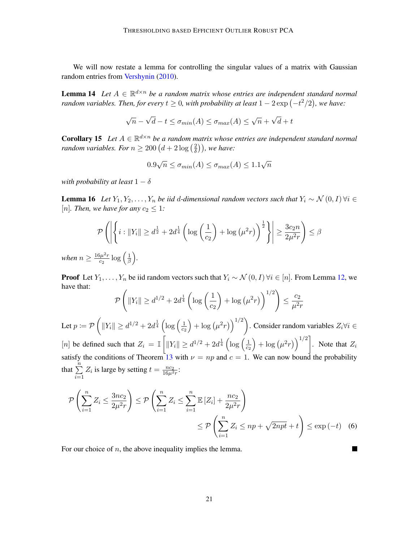We will now restate a lemma for controlling the singular values of a matrix with Gaussian random entries from [Vershynin](#page-17-9) [\(2010\)](#page-17-9).

**Lemma 14** Let  $A \in \mathbb{R}^{d \times n}$  be a random matrix whose entries are independent standard normal *random variables. Then, for every*  $t \geq 0$ , with probability at least  $1 - 2 \exp(-t^2/2)$ , we have:

$$
\sqrt{n} - \sqrt{d} - t \le \sigma_{min}(A) \le \sigma_{max}(A) \le \sqrt{n} + \sqrt{d} + t
$$

<span id="page-20-1"></span>**Corollary 15** Let  $A \in \mathbb{R}^{d \times n}$  be a random matrix whose entries are independent standard normal *random variables. For*  $n \geq 200 (d + 2 \log_{10} \frac{2}{\delta})$  $\left(\frac{2}{\delta}\right)$ ), we have:

$$
0.9\sqrt{n} \le \sigma_{min}(A) \le \sigma_{max}(A) \le 1.1\sqrt{n}
$$

*with probability at least*  $1 - \delta$ 

<span id="page-20-0"></span>**Lemma 16** *Let*  $Y_1, Y_2, ..., Y_n$  *be iid d-dimensional random vectors such that*  $Y_i \sim \mathcal{N}(0, I) \forall i \in$ [*n*]. Then, we have for any  $c_2 \leq 1$ :

$$
\mathcal{P}\left(\left|\left\{i: \|Y_i\| \ge d^{\frac{1}{2}} + 2d^{\frac{1}{4}}\left(\log\left(\frac{1}{c_2}\right) + \log\left(\mu^2 r\right)\right)^{\frac{1}{2}}\right\}\right| \ge \frac{3c_2 n}{2\mu^2 r}\right) \le \beta
$$

*when*  $n \geq \frac{16\mu^2 r}{c_2}$  $\frac{\delta\mu^2r}{c_2}\log\left(\frac{1}{\beta}\right)$ β *.*

**Proof** Let  $Y_1, \ldots, Y_n$  be iid random vectors such that  $Y_i \sim \mathcal{N}(0, I)$   $\forall i \in [n]$ . From Lemma [12,](#page-19-0) we have that:

$$
\mathcal{P}\left(\|Y_i\| \ge d^{1/2} + 2d^{\frac{1}{4}} \left(\log\left(\frac{1}{c_2}\right) + \log\left(\mu^2 r\right)\right)^{1/2}\right) \le \frac{c_2}{\mu^2 r}
$$
  
Let  $p := \mathcal{P}\left(\|Y_i\| \ge d^{1/2} + 2d^{\frac{1}{4}} \left(\log\left(\frac{1}{c_2}\right) + \log\left(\mu^2 r\right)\right)^{1/2}\right)$ . Consider random variables  $Z_i \forall i \in [n]$  be defined such that  $Z_i = \mathbb{I}\left[\|Y_i\| \ge d^{1/2} + 2d^{\frac{1}{4}} \left(\log\left(\frac{1}{c_2}\right) + \log\left(\mu^2 r\right)\right)^{1/2}\right]$ . Note that  $Z_i$  satisfy the conditions of Theorem 13 with  $\nu = np$  and  $c = 1$ . We can now bound the probability

that 
$$
\sum_{i=1}^{n} Z_i
$$
 is large by setting  $t = \frac{nc_2}{16\mu^2 r}$ :

$$
\mathcal{P}\left(\sum_{i=1}^{n} Z_i \le \frac{3nc_2}{2\mu^2 r}\right) \le \mathcal{P}\left(\sum_{i=1}^{n} Z_i \le \sum_{i=1}^{n} \mathbb{E}\left[Z_i\right] + \frac{nc_2}{2\mu^2 r}\right) \le \mathcal{P}\left(\sum_{i=1}^{n} Z_i \le np + \sqrt{2npt} + t\right) \le \exp\left(-t\right) \tag{6}
$$

 $\blacksquare$ 

For our choice of  $n$ , the above inequality implies the lemma.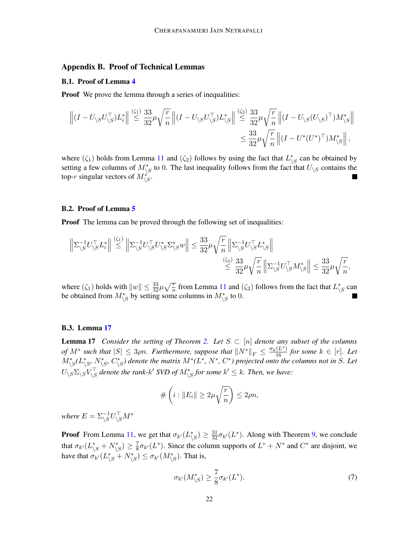### Appendix B. Proof of Technical Lemmas

#### <span id="page-21-0"></span>B.1. Proof of Lemma [4](#page-12-1)

**Proof** We prove the lemma through a series of inequalities:

$$
\left\| \left(I - U_{\backslash S} U_{\backslash S}^\top \right) L_i^* \right\| \stackrel{\langle \zeta_1 \rangle}{\leq} \frac{33}{32} \mu \sqrt{\frac{r}{n}} \left\| \left(I - U_{\backslash S} U_{\backslash S}^\top \right) L_{\backslash S}^* \right\| \stackrel{\langle \zeta_2 \rangle}{\leq} \frac{33}{32} \mu \sqrt{\frac{r}{n}} \left\| \left(I - U_{\backslash S} (U_{\backslash S})^\top \right) M_{\backslash S}^* \right\| \right. \\ \left. \qquad \qquad \leq \frac{33}{32} \mu \sqrt{\frac{r}{n}} \left\| \left(I - U^* (U^*)^\top \right) M_{\backslash S}^* \right\|,
$$

where  $(\zeta_1)$  holds from Lemma [11](#page-18-0) and  $(\zeta_2)$  follows by using the fact that  $L_{\setminus S}^*$  can be obtained by setting a few columns of  $M_{\backslash S}^*$  to 0. The last inequality follows from the fact that  $U_{\backslash S}$  contains the top-r singular vectors of  $M_{\backslash S}^*$ .

#### <span id="page-21-1"></span>B.2. Proof of Lemma [5](#page-13-0)

**Proof** The lemma can be proved through the following set of inequalities:

$$
\begin{aligned} \left\| \Sigma_{\backslash S}^{-1}U_{\backslash S}^\top L_i^* \right\| \stackrel{(\zeta_1)}{\leq} \left\| \Sigma_{\backslash S}^{-1}U_{\backslash S}^\top U_{\backslash S}^* \Sigma_{\backslash S}^* w \right\| \leq \frac{33}{32} \mu \sqrt{\frac{r}{n}} \left\| \Sigma_{\backslash S}^{-1}U_{\backslash S}^\top L_{\backslash S}^* \right\| \\ &\stackrel{(\zeta_2)}{\leq} \frac{33}{32} \mu \sqrt{\frac{r}{n}} \left\| \Sigma_{\backslash S}^{-1}U_{\backslash S}^\top M_{\backslash S}^* \right\| \leq \frac{33}{32} \mu \sqrt{\frac{r}{n}}, \end{aligned}
$$

where  $(\zeta_1)$  holds with  $||w|| \leq \frac{33}{32}\mu\sqrt{\frac{r}{n}}$  from Lemma [11](#page-18-0) and  $(\zeta_2)$  follows from the fact that  $L_{\setminus S}^*$  can be obtained from  $M^*_{\setminus S}$  by setting some columns in  $M^*_{\setminus S}$  to 0.

#### B.3. Lemma [17](#page-21-2)

<span id="page-21-2"></span>**Lemma 17** *Consider the setting of Theorem [2.](#page-6-1) Let*  $S \subset [n]$  *denote any subset of the columns of*  $M^*$  such that  $|S| \leq 3\rho n$ . Furthermore, suppose that  $||N^*||_F \leq \frac{\sigma_k(L^*)}{16}$  for some  $k \in [r]$ . Let  $M^*_{\backslash S}(L^*_{\backslash S}, N^*_{\backslash S}, C^*_{\backslash S})$  denote the matrix  $M^*(L^*, N^*, C^*)$  projected onto the columns not in S. Let  $U_{\backslash S} \Sigma_{\backslash S} V_{\backslash S}^\top$  denote the rank-k' SVD of  $M^\ast_{\backslash S}$  for some  $k' \leq k$ . Then, we have:

$$
\#\left(i:\|E_i\|\geq 2\mu\sqrt{\frac{r}{n}}\right)\leq 2\rho n,
$$

where  $E = \Sigma_{\setminus S}^{-1} U_{\setminus S}^\top M^*$ 

**Proof** From Lemma [11,](#page-18-0) we get that  $\sigma_{k'}(L_{\setminus S}^*) \ge \frac{31}{32} \sigma_{k'}(L^*)$ . Along with Theorem [9,](#page-17-10) we conclude that  $\sigma_{k'}(L_{\setminus S}^* + N_{\setminus S}^*) \ge \frac{7}{8}$  $\frac{7}{8}\sigma_{k'}(L^*)$ . Since the column supports of  $L^* + N^*$  and  $C^*$  are disjoint, we have that  $\sigma_{k'}(L_{\backslash S}^* + N_{\backslash S}^*) \leq \sigma_{k'}(M_{\backslash S}^*)$ . That is,

<span id="page-21-3"></span>
$$
\sigma_{k'}(M_{\backslash S}^*) \ge \frac{7}{8}\sigma_{k'}(L^*). \tag{7}
$$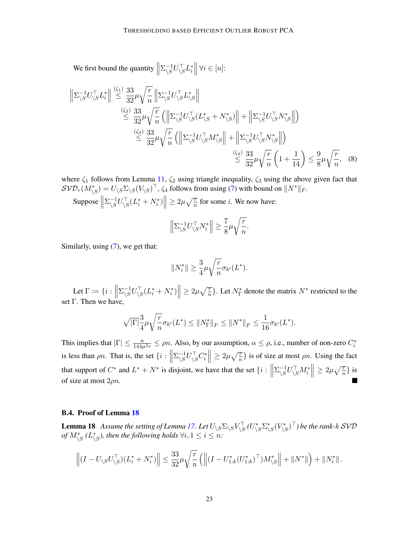We first bound the quantity  $\parallel$  $\Sigma^{-1}_{\setminus S}$  $\frac{-1}{\sqrt{S}}U\bar{\setminus}SL_i^*$  $\forall i \in [n]:$ 

$$
\left\| \Sigma_{\backslash S}^{-1} U_{\backslash S}^{\top} L_i^* \right\| \stackrel{\langle \zeta_1 \rangle}{\leq} \frac{33}{32} \mu \sqrt{\frac{r}{n}} \left\| \Sigma_{\backslash S}^{-1} U_{\backslash S}^{\top} L_i^* S \right\|
$$
  

$$
\stackrel{\langle \zeta_2 \rangle}{\leq} \frac{33}{32} \mu \sqrt{\frac{r}{n}} \left( \left\| \Sigma_{\backslash S}^{-1} U_{\backslash S}^{\top} (L_{\backslash S}^* + N_{\backslash S}^*) \right\| + \left\| \Sigma_{\backslash S}^{-1} U_{\backslash S}^{\top} N_{\backslash S}^* \right\| \right)
$$
  

$$
\stackrel{\langle \zeta_3 \rangle}{\leq} \frac{33}{32} \mu \sqrt{\frac{r}{n}} \left( \left\| \Sigma_{\backslash S}^{-1} U_{\backslash S}^{\top} M_{\backslash S}^* \right\| + \left\| \Sigma_{\backslash S}^{-1} U_{\backslash S}^{\top} N_{\backslash S}^* \right\| \right)
$$
  

$$
\stackrel{\langle \zeta_4 \rangle}{\leq} \frac{33}{32} \mu \sqrt{\frac{r}{n}} \left( 1 + \frac{1}{14} \right) \leq \frac{9}{8} \mu \sqrt{\frac{r}{n}}, \quad (8)
$$

where  $\zeta_1$  follows from Lemma [11,](#page-18-0)  $\zeta_2$  using triangle inequality,  $\zeta_3$  using the above given fact that  $\mathcal{SVD}_r(M^*_{\backslash S})=U_{\backslash S}\Sigma_{\backslash S}(V_{\backslash S})^\top$ ,  $\zeta_4$  follows from using [\(7\)](#page-21-3) with bound on  $\|N^*\|_F$ .

Suppose  $\parallel$  $\Sigma_{\rm \scriptscriptstyle V}^{-1}$  $\left|\sum_{i=1}^{n} U_{i}^{\top} (L_i^* + N_i^*) \right| \geq 2\mu \sqrt{\frac{r}{n}}$  for some *i*. We now have:

$$
\left\|\Sigma_{\setminus S}^{-1}U_{\setminus S}^{\top}N_i^*\right\| \ge \frac{7}{8}\mu\sqrt{\frac{r}{n}}.
$$

Similarly, using [\(7\)](#page-21-3), we get that:

$$
||N_i^*|| \geq \frac{3}{4}\mu\sqrt{\frac{r}{n}}\sigma_{k'}(L^*).
$$

Let  $\Gamma \coloneqq \{i : \|\}$  $\Sigma_{\rm \scriptscriptstyle V}^{-1}$  $\left|\sum_{i=1}^{n} U_{i}^{\top} S (L_i^* + N_i^*) \right| \geq 2\mu \sqrt{\frac{r}{n}}$ . Let  $N_{\Gamma}^*$  denote the matrix  $N^*$  restricted to the set  $\Gamma$ . Then we have,

$$
\sqrt{|\Gamma|}\frac{3}{4}\mu\sqrt{\frac{r}{n}}\sigma_{k'}(L^*)\leq \|N^*_\Gamma\|_F\leq \|N^*\|_F\leq \frac{1}{16}\sigma_{k'}(L^*).
$$

This implies that  $|\Gamma| \le \frac{n}{144\mu^2 r} \le \rho n$ . Also, by our assumption,  $\alpha \le \rho$ , i.e., number of non-zero  $C_i^*$ is less than  $\rho n$ . That is, the set  $\{i : \mathbb{R} \mid \mathbb{R} \}$  $\Sigma_{\rm \scriptscriptstyle V}^{-1}$  $\left\|\sum_{s=1}^{n} U_{\backslash s}^{\top} C_i^* \right\| \geq 2\mu \sqrt{\frac{r}{n}}$  is of size at most  $\rho n$ . Using the fact that support of  $C^*$  and  $L^* + N^*$  is disjoint, we have that the set  $\{i : \mathbb{R} \mid \mathbb{R}^d\}$  $\Sigma_{\rm \scriptscriptstyle V}^{-1}$  $\left\|\sum_{i=1}^{n} U \left\langle S M_{i}^{*} \right\| \geq 2 \mu \sqrt{\frac{r}{n}} \right\}$  is of size at most  $2\rho n$ .

#### B.4. Proof of Lemma [18](#page-22-0)

<span id="page-22-0"></span>**Lemma 18** Assume the setting of Lemma [17.](#page-21-2) Let  $U_{\backslash S} \Sigma_{\backslash S} V_{\backslash S}^\top (U_{\backslash S}^* \Sigma_{\backslash S}^* (V_{\backslash S}^*)^\top)$  be the rank-k SVD *of*  $M^*_{\setminus S}$  *(L*<sup>\*</sup><sub>*S</sub>*)*, then the following holds*  $\forall i, 1 \leq i \leq n$ *:*</sub>

$$
\left\| (I - U_{\backslash S} U_{\backslash S}^{\top}) (L_i^* + N_i^*) \right\| \leq \frac{33}{32} \mu \sqrt{\frac{r}{n}} \left( \left\| (I - U_{1:k}^* (U_{1:k}^*)^{\top}) M_{\backslash S}^* \right\| + \left\| N^* \right\| \right) + \left\| N_i^* \right\|.
$$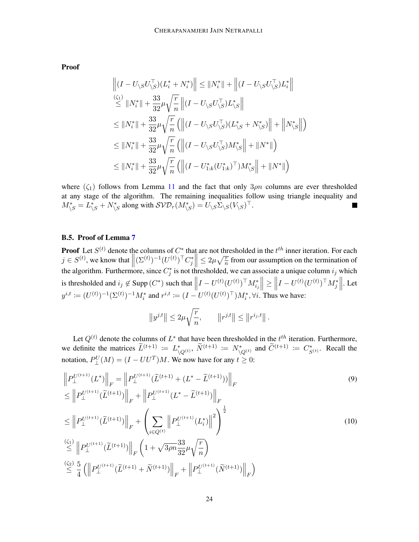Proof

$$
\| (I - U_{\backslash S} U_{\backslash S}^{\top}) (L_i^* + N_i^*) \| \le \| N_i^* \| + \| (I - U_{\backslash S} U_{\backslash S}^{\top}) L_i^* \|
$$
  
\n
$$
\le \| N_i^* \| + \frac{33}{32} \mu \sqrt{\frac{r}{n}} \| (I - U_{\backslash S} U_{\backslash S}^{\top}) L_{\backslash S}^* \|
$$
  
\n
$$
\le \| N_i^* \| + \frac{33}{32} \mu \sqrt{\frac{r}{n}} ( \| (I - U_{\backslash S} U_{\backslash S}^{\top}) (L_{\backslash S}^* + N_{\backslash S}^*) \| + \| N_{\backslash S}^* \| )
$$
  
\n
$$
\le \| N_i^* \| + \frac{33}{32} \mu \sqrt{\frac{r}{n}} ( \| (I - U_{\backslash S} U_{\backslash S}^{\top}) M_{\backslash S}^* \| + \| N^* \| )
$$
  
\n
$$
\le \| N_i^* \| + \frac{33}{32} \mu \sqrt{\frac{r}{n}} ( \| (I - U_{1:k}^* (U_{1:k}^*)^\top) M_{\backslash S}^* \| + \| N^* \| )
$$

where  $(\zeta_1)$  follows from Lemma [11](#page-18-0) and the fact that only  $3\rho n$  columns are ever thresholded at any stage of the algorithm. The remaining inequalities follow using triangle inequality and  $M_{\backslash S}^* = L_{\backslash S}^* + N_{\backslash S}^*$  along with  $\mathcal{SVD}_r(M_{\backslash S}^*) = U_{\backslash S} \Sigma_{\backslash S} (V_{\backslash S})^\top$ .

# <span id="page-23-0"></span>B.5. Proof of Lemma [7](#page-14-1)

**Proof** Let  $S^{(t)}$  denote the columns of  $C^*$  that are not thresholded in the  $t^{th}$  inner iteration. For each  $j \in S^{(t)}$ , we know that  $\left\| (\Sigma^{(t)})^{-1} (U^{(t)})^{\top} C_j^* \right\| \leq 2\mu \sqrt{\frac{r}{n}}$  from our assumption on the termination of the algorithm. Furthermore, since  $C_j^*$  is not thresholded, we can associate a unique column  $i_j$  which is thresholded and  $i_j \notin \text{Supp}(C^*)$  such that  $\|\cdot\|$  $I - U^{(t)} (U^{(t)})^\top M_{i_j}^* \Big\| \ge \Big\|$  $I-U^{(t)}(U^{(t)})^\top M^*_j\Big\|$ . Let  $y^{i,t} := (U^{(t)})^{-1} (\Sigma^{(t)})^{-1} M_i^*$  and  $r^{i,t} := (I - U^{(t)} (U^{(t)})^\top) M_i^*, \forall i$ . Thus we have:

$$
\left\|y^{j,t}\right\| \leq 2\mu \sqrt{\frac{r}{n}}, \qquad \left\|r^{j,t}\right\| \leq \left\|r^{i_j,t}\right\|.
$$

Let  $Q^{(t)}$  denote the columns of  $L^*$  that have been thresholded in the  $t^{th}$  iteration. Furthermore, we definite the matrices  $\widetilde{L}^{(t+1)} := L^*_{\setminus Q^{(t)}}, \widetilde{N}^{(t+1)} := N^*_{\setminus Q^{(t)}}$  and  $\widetilde{C}^{(t+1)} := C^*_{S^{(t)}}$ . Recall the notation,  $P_{\perp}^{U}(M) = (I - UU^{T})M$ . We now have for any  $t \geq 0$ :

$$
\|P_{\perp}^{U^{(t+1)}}(L^*)\|_F = \|P_{\perp}^{U^{(t+1)}}(\tilde{L}^{(t+1)} + (L^* - \tilde{L}^{(t+1)}))\|_F
$$
\n
$$
\leq \|P_{\perp}^{U^{(t+1)}}(\tilde{L}^{(t+1)})\|_F + \|P_{\perp}^{U^{(t+1)}}(L^* - \tilde{L}^{(t+1)})\|_F
$$
\n
$$
\leq \|P_{\perp}^{U^{(t+1)}}(\tilde{L}^{(t+1)})\|_F + \left(\sum_{i \in Q^{(t)}} \|P_{\perp}^{U^{(t+1)}}(L_i^*)\|^2\right)^{\frac{1}{2}}
$$
\n
$$
\overset{\text{(S1)}}{\leq} \|P_{\perp}^{U^{(t+1)}}(\tilde{L}^{(t+1)})\|_F \left(1 + \sqrt{3\rho n} \frac{33}{32} \mu \sqrt{\frac{r}{n}}\right)
$$
\n
$$
\overset{\text{(S2)}}{\leq} \frac{5}{4} \left( \|P_{\perp}^{U^{(t+1)}}(\tilde{L}^{(t+1)} + \tilde{N}^{(t+1)})\|_F + \|P_{\perp}^{U^{(t+1)}}(\tilde{N}^{(t+1)})\|_F \right)
$$
\n(10)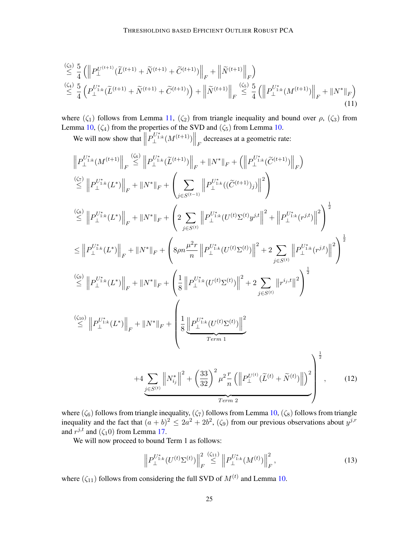$$
\leq \frac{\binom{\zeta_{3}}{4}}{4} \left( \left\| P_{\perp}^{U^{(t+1)}} (\widetilde{L}^{(t+1)} + \widetilde{N}^{(t+1)} + \widetilde{C}^{(t+1)}) \right\|_{F} + \left\| \widetilde{N}^{(t+1)} \right\|_{F} \right) \n\leq \frac{\binom{\zeta_{4}}{4}}{4} \left( P_{\perp}^{U_{1:k}^{*}} (\widetilde{L}^{(t+1)} + \widetilde{N}^{(t+1)} + \widetilde{C}^{(t+1)}) \right) + \left\| \widetilde{N}^{(t+1)} \right\|_{F} \leq \frac{\binom{\zeta_{5}}{4}}{4} \left( \left\| P_{\perp}^{U_{1:k}^{*}} (M^{(t+1)}) \right\|_{F} + \left\| N^{*} \right\|_{F} \right)
$$
\n(11)

where  $(\zeta_1)$  follows from Lemma [11,](#page-18-0)  $(\zeta_2)$  from triangle inequality and bound over  $\rho$ ,  $(\zeta_3)$  from Lemma [10,](#page-18-1)  $(\zeta_4)$  from the properties of the SVD and  $(\zeta_5)$  from Lemma [10.](#page-18-1)

<span id="page-24-2"></span>We will now show that  $\parallel$  $\left. P_{\perp}^{U_{1:k}^{*}}(M^{(t+1)}) \right\|_{F}$  decreases at a geometric rate:

$$
\|P_{\perp}^{U_{1:k}^{*}}(M^{(t+1)}\|_{F} \leq \|P_{\perp}^{U_{1:k}^{*}}(\tilde{L}^{(t+1)})\|_{F} + \|N^{*}\|_{F} + (\|P_{\perp}^{U_{1:k}^{*}}(\tilde{C}^{(t+1)})\|_{F})
$$
\n
$$
\leq \|P_{\perp}^{U_{1:k}^{*}}(L^{*})\|_{F} + \|N^{*}\|_{F} + \left(\sum_{j\in S^{(t-1)}} \|P_{\perp}^{U_{1:k}^{*}}((\tilde{C}^{(t+1)})_{j})\|^{2}\right)
$$
\n
$$
\leq \|P_{\perp}^{U_{1:k}^{*}}(L^{*})\|_{F} + \|N^{*}\|_{F} + \left(2\sum_{j\in S^{(t)}} \|P_{\perp}^{U_{1:k}^{*}}(U^{(t)}\Sigma^{(t)}y^{j,t}\|^{2} + \|P_{\perp}^{U_{1:k}^{*}}(r^{j,t})\|^{2}\right)^{\frac{1}{2}}
$$
\n
$$
\leq \|P_{\perp}^{U_{1:k}^{*}}(L^{*})\|_{F} + \|N^{*}\|_{F} + \left(8\rho n \frac{\mu^{2}r}{n} \|P_{\perp}^{U_{1:k}^{*}}(U^{(t)}\Sigma^{(t)})\|^{2} + 2\sum_{j\in S^{(t)}} \|P_{\perp}^{U_{1:k}^{*}}(r^{j,t})\|^{2}\right)^{\frac{1}{2}}
$$
\n
$$
\overset{\text{(So)}}{\leq} \|P_{\perp}^{U_{1:k}^{*}}(L^{*})\|_{F} + \|N^{*}\|_{F} + \left(\frac{1}{8}\|P_{\perp}^{U_{1:k}^{*}}(U^{(t)}\Sigma^{(t)})\|^{2} + 2\sum_{j\in S^{(t)}} \|r^{i_{j,t}}\|^{2}\right)^{\frac{1}{2}}
$$
\n
$$
\overset{\text{(So)}}{\leq} \|P_{\perp}^{U_{1:k}^{*}}(L^{*})\|_{F} + \|N^{*}\|_{F} + \left(\frac{1}{8}\|P_{\perp}^{U_{1:k}^{*}}(U^{(t)}\Sigma^{(t)})\|^{2}}{Term 1}
$$
\n
$$
+ 4\sum_{j\in S^{
$$

where  $(\zeta_6)$  follows from triangle inequality,  $(\zeta_7)$  follows from Lemma [10,](#page-18-1)  $(\zeta_8)$  follows from triangle inequality and the fact that  $(a + b)^2 \leq 2a^2 + 2b^2$ ,  $(\zeta_9)$  from our previous observations about  $y^{j,r}$ and  $r^{j,t}$  and  $(\zeta_1 0)$  from Lemma [17.](#page-21-2)

We will now proceed to bound Term 1 as follows:

<span id="page-24-1"></span><span id="page-24-0"></span>
$$
\left\| P_{\perp}^{U_{1:k}^*}(U^{(t)}\Sigma^{(t)}) \right\|_F^2 \stackrel{(\zeta_{11})}{\leq} \left\| P_{\perp}^{U_{1:k}^*}(M^{(t)}) \right\|_F^2, \tag{13}
$$

where  $(\zeta_{11})$  follows from considering the full SVD of  $M^{(t)}$  and Lemma [10.](#page-18-1)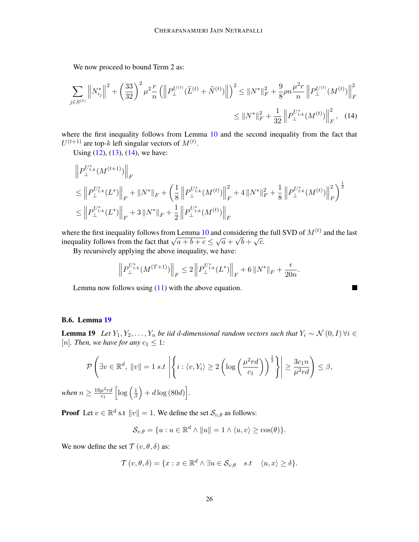We now proceed to bound Term 2 as:

$$
\sum_{j \in S^{(t)}} \left\| N_{i_j}^* \right\|^2 + \left( \frac{33}{32} \right)^2 \mu^2 \frac{r}{n} \left( \left\| P_{\perp}^{U^{(t)}} (\widetilde{L}^{(t)} + \widetilde{N}^{(t)}) \right\| \right)^2 \leq \| N^* \|_F^2 + \frac{9}{8} \rho n \frac{\mu^2 r}{n} \left\| P_{\perp}^{U^{(t)}} (M^{(t)}) \right\|_F^2
$$

$$
\leq \| N^* \|_F^2 + \frac{1}{32} \left\| P_{\perp}^{U_{1:k}^*} (M^{(t)}) \right\|_F^2, \quad (14)
$$

where the first inequality follows from Lemma [10](#page-18-1) and the second inequality from the fact that  $U^{(t+1)}$  are top-k left singular vectors of  $M^{(t)}$ .

Using  $(12)$ ,  $(13)$ ,  $(14)$ , we have:

$$
\label{eq:20} \begin{split} & \left\|P_{\perp}^{U_{1:k}^*}(M^{(t+1)})\right\|_F \\ & \leq \left\|P_{\perp}^{U_{1:k}^*}(L^*)\right\|_F + \left\|N^*\right\|_F + \left(\frac{1}{8}\left\|P_{\perp}^{U_{1:k}^*}(M^{(t)})\right\|_F^2 + 4\left\|N^*\right\|_F^2 + \frac{1}{8}\left\|P_{\perp}^{U_{1:k}^*}(M^{(t)})\right\|_F^2\right)^\frac{1}{2} \\ & \leq \left\|P_{\perp}^{U_{1:k}^*}(L^*)\right\|_F + 3\left\|N^*\right\|_F + \frac{1}{2}\left\|P_{\perp}^{U_{1:k}^*}(M^{(t)})\right\|_F \end{split}
$$

where the first inequality follows from Lemma [10](#page-18-1) and considering the full SVD of  $M^{(t)}$  and the last where the first inequality follows from Lemma 10 and considering the inequality follows from the fact that  $\sqrt{a+b+c} \leq \sqrt{a} + \sqrt{b} + \sqrt{c}$ .

By recursively applying the above inequality, we have:

$$
\Big\|P_{\perp}^{U_{1:k}^*}(M^{(T+1)})\Big\|_F\leq 2\left\|P_{\perp}^{U_{1:k}^*}(L^*)\right\|_F+6\left\|N^*\right\|_F+\frac{\epsilon}{20n}.
$$

<span id="page-25-1"></span>■

Lemma now follows using  $(11)$  with the above equation.

# B.6. Lemma [19](#page-25-0)

<span id="page-25-0"></span>**Lemma 19** *Let*  $Y_1, Y_2, ..., Y_n$  *be iid d-dimensional random vectors such that*  $Y_i \sim \mathcal{N}(0, I) \forall i \in$ [n]. Then, we have for any  $c_1 \leq 1$ *:* 

$$
\mathcal{P}\left(\exists v \in \mathbb{R}^d, \|v\| = 1 \ s.t \ \left|\left\{i : \langle v, Y_i \rangle \ge 2\left(\log\left(\frac{\mu^2 r d}{c_1}\right)\right)^{\frac{1}{2}}\right\}\right| \ge \frac{3c_1 n}{\mu^2 r d}\right) \le \beta,
$$

when  $n \geq \frac{16\mu^2 r d}{c}$  $\overline{c_1}$  $\left[\log\left(\frac{1}{\beta}\right)\right]$  $\frac{1}{\beta}\Big) + d\log(80d)\Big].$ 

**Proof** Let  $v \in \mathbb{R}^d$  s.t  $||v|| = 1$ . We define the set  $\mathcal{S}_{v,\theta}$  as follows:

$$
\mathcal{S}_{v,\theta} = \{u : u \in \mathbb{R}^d \wedge ||u|| = 1 \wedge \langle u, v \rangle \ge \cos(\theta)\}.
$$

We now define the set  $\mathcal{T}(v, \theta, \delta)$  as:

$$
\mathcal{T}(v,\theta,\delta) = \{x : x \in \mathbb{R}^d \land \exists u \in \mathcal{S}_{v,\theta} \quad s.t \quad \langle u, x \rangle \ge \delta\}.
$$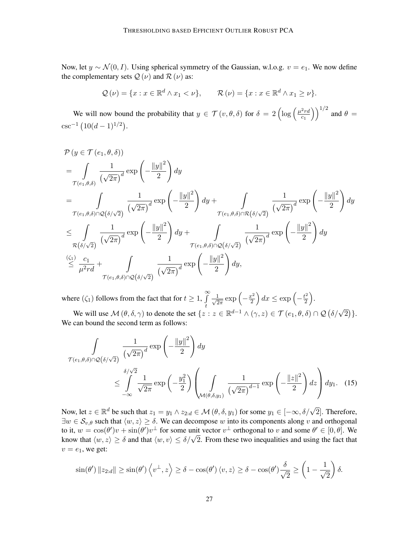Now, let  $y \sim \mathcal{N}(0, I)$ . Using spherical symmetry of the Gaussian, w.l.o.g.  $v = e_1$ . We now define the complementary sets  $Q(\nu)$  and  $R(\nu)$  as:

$$
\mathcal{Q}(\nu) = \{x : x \in \mathbb{R}^d \wedge x_1 < \nu\}, \qquad \mathcal{R}(\nu) = \{x : x \in \mathbb{R}^d \wedge x_1 \geq \nu\}.
$$

We will now bound the probability that  $y \in \mathcal{T}(v, \theta, \delta)$  for  $\delta = 2 \left( \log \left( \frac{\mu^2 r d}{c_1} \right) \right)$  $\overline{c_1}$  $\big) \big)^{1/2}$  and  $\theta =$  $\csc^{-1}(10(d-1)^{1/2}).$ 

$$
\begin{split}\n&\mathcal{P}\left(y \in \mathcal{T}\left(e_1, \theta, \delta\right)\right) \\
&= \int_{\mathcal{T}\left(e_1, \theta, \delta\right)} \frac{1}{\left(\sqrt{2\pi}\right)^d} \exp\left(-\frac{\|y\|^2}{2}\right) dy \\
&= \int_{\mathcal{T}\left(e_1, \theta, \delta\right) \cap \mathcal{Q}\left(\delta/\sqrt{2}\right)} \frac{1}{\left(\sqrt{2\pi}\right)^d} \exp\left(-\frac{\|y\|^2}{2}\right) dy + \int_{\mathcal{T}\left(e_1, \theta, \delta\right) \cap \mathcal{R}\left(\delta/\sqrt{2}\right)} \frac{1}{\left(\sqrt{2\pi}\right)^d} \exp\left(-\frac{\|y\|^2}{2}\right) dy \\
&\leq \int_{\mathcal{R}\left(\delta/\sqrt{2}\right)} \frac{1}{\left(\sqrt{2\pi}\right)^d} \exp\left(-\frac{\|y\|^2}{2}\right) dy + \int_{\mathcal{T}\left(e_1, \theta, \delta\right) \cap \mathcal{Q}\left(\delta/\sqrt{2}\right)} \frac{1}{\left(\sqrt{2\pi}\right)^d} \exp\left(-\frac{\|y\|^2}{2}\right) dy \\
&\leq \frac{\binom{(\zeta_1)}{d} \cdot \frac{c_1}{d}}{\mu^2 r d} + \int_{\mathcal{T}\left(e_1, \theta, \delta\right) \cap \mathcal{Q}\left(\delta/\sqrt{2}\right)} \frac{1}{\left(\sqrt{2\pi}\right)^d} \exp\left(-\frac{\|y\|^2}{2}\right) dy, \\
&\mathcal{T}\left(e_1, \theta, \delta\right) \cap \mathcal{Q}\left(\delta/\sqrt{2}\right)} \frac{1}{\left(\sqrt{2\pi}\right)^d} \exp\left(-\frac{\|y\|^2}{2}\right) dy,\n\end{split}
$$

where  $(\zeta_1)$  follows from the fact that for  $t \geq 1$ ,  $\int_{\sqrt{2}}^{\infty} \frac{1}{\sqrt{2}}$ We will use  $\mathcal{M}(\theta, \delta, \gamma)$  to denote the set  $\{z : z \in \mathbb{R}^{d-1} \wedge (\gamma, z) \in \mathcal{T}(e_1, \theta, \delta) \cap \mathcal{Q}(\delta/\sqrt{2})\}.$  $rac{1}{2\pi}$  exp  $\left(-\frac{x^2}{2}\right)$  $\left(\frac{x^2}{2}\right)dx \leq \exp\left(-\frac{t^2}{2}\right)$  $\frac{t^2}{2}$ .

We can bound the second term as follows:

<span id="page-26-0"></span>
$$
\int_{\mathcal{T}(e_1,\theta,\delta)\cap\mathcal{Q}(\delta/\sqrt{2})} \frac{1}{(\sqrt{2\pi})^d} \exp\left(-\frac{\|y\|^2}{2}\right) dy
$$
\n
$$
\leq \int_{-\infty}^{\delta/\sqrt{2}} \frac{1}{\sqrt{2\pi}} \exp\left(-\frac{y_1^2}{2}\right) \left(\int_{\mathcal{M}(\theta,\delta,y_1)} \frac{1}{(\sqrt{2\pi})^{d-1}} \exp\left(-\frac{\|z\|^2}{2}\right) dz\right) dy_1. \quad (15)
$$

Now, let  $z \in \mathbb{R}^d$  be such that  $z_1 = y_1 \wedge z_{2:d} \in \mathcal{M}(\theta, \delta, y_1)$  for some  $y_1 \in [-\infty, \delta/\sqrt{2}]$ . Therefore,  $\exists w \in S_{v,\theta}$  such that  $\langle w, z \rangle \ge \delta$ . We can decompose w into its components along v and orthogonal to it,  $w = \cos(\theta')v + \sin(\theta')v^{\perp}$  for some unit vector  $v^{\perp}$  orthogonal to v and some  $\theta' \in [0, \theta]$ . We to it,  $w = \cos(\theta) v + \sin(\theta) v$  for some unit vector  $v$  orthogonal to v and some  $\theta \in [0, \theta]$ . We know that  $\langle w, z \rangle \ge \delta$  and that  $\langle w, v \rangle \le \delta/\sqrt{2}$ . From these two inequalities and using the fact that  $v = e_1$ , we get:

$$
\sin(\theta')\|z_{2:d}\| \ge \sin(\theta')\left\langle v^\perp,z\right\rangle \ge \delta - \cos(\theta')\left\langle v,z\right\rangle \ge \delta - \cos(\theta')\frac{\delta}{\sqrt{2}} \ge \left(1-\frac{1}{\sqrt{2}}\right)\delta.
$$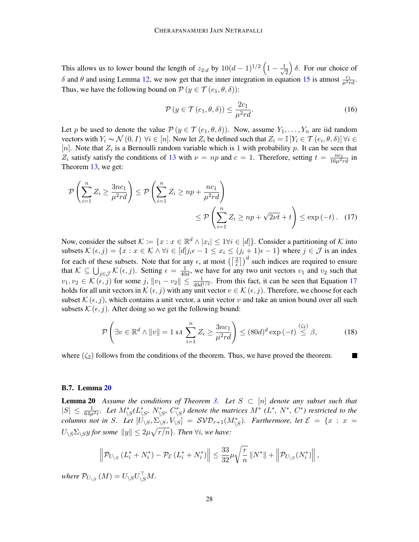This allows us to lower bound the length of  $z_{2:d}$  by  $10(d-1)^{1/2} \left(1 - \frac{1}{\sqrt{2}}\right)$ 2  $\delta$ . For our choice of δ and θ and using Lemma [12,](#page-19-0) we now get that the inner integration in equation [15](#page-26-0) is atmost  $\frac{c_1}{\mu^2 r d}$ . Thus, we have the following bound on  $P(y \in \mathcal{T}(e_1, \theta, \delta))$ :

<span id="page-27-0"></span>
$$
\mathcal{P}\left(y \in \mathcal{T}\left(e_1, \theta, \delta\right)\right) \le \frac{2c_1}{\mu^2 r d}.\tag{16}
$$

Let p be used to denote the value  $P(y \in \mathcal{T}(e_1, \theta, \delta))$ . Now, assume  $Y_1, \ldots, Y_n$  are iid random vectors with  $Y_i \sim \mathcal{N}(0, I)$   $\forall i \in [n]$ . Now let  $Z_i$  be defined such that  $Z_i = \mathbb{I}[Y_i \in \mathcal{T}(e_i, \theta, \delta)]$   $\forall i \in I$ [n]. Note that  $Z_i$  is a Bernoulli random variable which is 1 with probability p. It can be seen that  $Z_i$  satisfy satisfy the conditions of [13](#page-19-1) with  $\nu = np$  and  $c = 1$ . Therefore, setting  $t = \frac{nc_1}{16\mu^2 rd}$  in Theorem [13,](#page-19-1) we get:

$$
\mathcal{P}\left(\sum_{i=1}^{n} Z_i \ge \frac{3nc_1}{\mu^2 rd}\right) \le \mathcal{P}\left(\sum_{i=1}^{n} Z_i \ge np + \frac{nc_1}{\mu^2 rd}\right) \le \mathcal{P}\left(\sum_{i=1}^{n} Z_i \ge np + \sqrt{2\nu t} + t\right) \le \exp\left(-t\right). \tag{17}
$$

Now, consider the subset  $\mathcal{K} := \{x : x \in \mathbb{R}^d \land |x_i| \leq 1 \forall i \in [d]\}.$  Consider a partitioning of  $\mathcal K$  into subsets  $\mathcal{K}(\epsilon, j) = \{x : x \in \mathcal{K} \land \forall i \in [d] j_i \epsilon - 1 \leq x_i \leq (j_i + 1)\epsilon - 1\}$  where  $j \in \mathcal{J}$  is an index for each of these subsets. Note that for any  $\epsilon$ , at most  $\left(\left\lceil \frac{2}{\epsilon} \right\rceil\right)^d$  such indices are required to ensure that  $\mathcal{K} \subseteq \bigcup_{j \in \mathcal{J}} \mathcal{K}(\epsilon, j)$ . Setting  $\epsilon = \frac{1}{40}$  $\frac{1}{40d}$ , we have for any two unit vectors  $v_1$  and  $v_2$  such that  $v_1, v_2 \in \mathcal{K}(\epsilon, j)$  for some  $j$ ,  $||v_1 - v_2|| \le \frac{1}{40d^{1/2}}$ . From this fact, it can be seen that Equation [17](#page-27-0) holds for all unit vectors in  $\mathcal{K}(\epsilon, j)$  with any unit vector  $v \in \mathcal{K}(\epsilon, j)$ . Therefore, we choose for each subset  $\mathcal{K}(\epsilon, j)$ , which contains a unit vector, a unit vector v and take an union bound over all such subsets  $\mathcal{K}(\epsilon, j)$ . After doing so we get the following bound:

$$
\mathcal{P}\left(\exists v \in \mathbb{R}^d \land ||v|| = 1 \text{ s.t } \sum_{i=1}^n Z_i \ge \frac{3nc_1}{\mu^2 rd} \right) \le (80d)^d \exp\left(-t\right) \stackrel{(\zeta_2)}{\le} \beta,\tag{18}
$$

where  $(\zeta_2)$  follows from the conditions of the theorem. Thus, we have proved the theorem.

### B.7. Lemma [20](#page-27-1)

<span id="page-27-1"></span>**Lemma 20** *Assume the conditions of Theorem [3.](#page-7-1) Let*  $S \subset [n]$  *denote any subset such that*  $|S| \leq \frac{1}{64\mu^2r}$ . Let  $M^*_{\backslash S}(L^*_{\backslash S}, N^*_{\backslash S}, C^*_{\backslash S})$  denote the matrices  $M^*$  ( $L^*$ ,  $N^*$ ,  $C^*$ ) restricted to the *columns not in S. Let*  $[\dot{U}_{\backslash S}, \Sigma_{\backslash S}, V_{\backslash S}] = \mathcal{SVD}_{r+1}(M^*_{\backslash S})$ *. Furthermore, let*  $\mathcal{E} = \{x : x =$  $U_{\backslash S}\Sigma_{\backslash S}y$  for some  $||y|| \leq 2\mu\sqrt{r/n}$ *. Then*  $\forall i$ *, we have:* 

$$
\left\|\mathcal{P}_{U_{\backslash S}}\left(L_i^*+N_i^*\right)-\mathcal{P}_{\mathcal{E}}\left(L_i^*+N_i^*\right)\right\|\leq \frac{33}{32}\mu\sqrt{\frac{r}{n}}\left\|N^*\right\|+\left\|\mathcal{P}_{U_{\backslash S}}(N_i^*)\right\|,
$$

where  $\mathcal{P}_{U_{\backslash S}}\left( M\right) =U_{\backslash S}U_{\backslash S}^{\top}M.$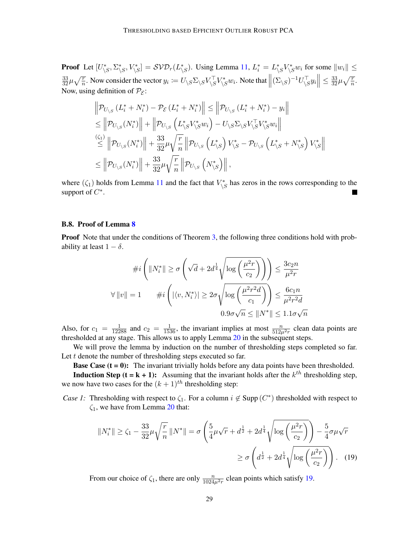**Proof** Let  $[U^*_{\setminus S}, \Sigma^*_{\setminus S}, V^*_{\setminus S}] = \mathcal{SVD}_r(L^*_{\setminus S})$ . Using Lemma [11,](#page-18-0)  $L_i^* = L^*_{\setminus S}V^*_{\setminus S}w_i$  for some  $||w_i|| \le$  $\frac{33}{32}\mu\sqrt{\frac{r}{n}}$ . Now consider the vector  $y_i := U_{\backslash S}\Sigma_{\backslash S}V_{\backslash S}^{\top}V_{\backslash S}^*w_i$ . Note that  $\left\|(\Sigma_{\backslash S})^{-1}U_{\backslash S}^{\top}y_i\right\| \le \frac{33}{32}\mu\sqrt{\frac{r}{n}}$ . Now, using definition of  $P_{\mathcal{E}}$ :

$$
\|\mathcal{P}_{U_{\backslash S}}(L_i^* + N_i^*) - \mathcal{P}_{\mathcal{E}}(L_i^* + N_i^*)\| \le \|\mathcal{P}_{U_{\backslash S}}(L_i^* + N_i^*) - y_i\| \n\le \|\mathcal{P}_{U_{\backslash S}}(N_i^*)\| + \|\mathcal{P}_{U_{\backslash S}}(L_{\backslash S}^* V_{\backslash S}^* w_i) - U_{\backslash S} \Sigma_{\backslash S} V_{\backslash S}^\top V_{\backslash S}^* w_i\| \n\le \|\mathcal{P}_{U_{\backslash S}}(N_i^*)\| + \frac{33}{32} \mu \sqrt{\frac{r}{n}} \|\mathcal{P}_{U_{\backslash S}}(L_{\backslash S}^*) V_{\backslash S}^* - \mathcal{P}_{U_{\backslash S}}(L_{\backslash S}^* + N_{\backslash S}^*) V_{\backslash S}^*\| \n\le \|\mathcal{P}_{U_{\backslash S}}(N_i^*)\| + \frac{33}{32} \mu \sqrt{\frac{r}{n}} \|\mathcal{P}_{U_{\backslash S}}(N_{\backslash S}^*)\|,
$$

where  $(\zeta_1)$  holds from Lemma [11](#page-18-0) and the fact that  $V_{\setminus S}^*$  has zeros in the rows corresponding to the support of  $C^*$ .

# <span id="page-28-0"></span>B.8. Proof of Lemma [8](#page-15-2)

**Proof** Note that under the conditions of Theorem [3,](#page-7-1) the following three conditions hold with probability at least  $1 - \delta$ .

$$
\#i\left(\|N_i^*\| \ge \sigma\left(\sqrt{d} + 2d^{\frac{1}{4}}\sqrt{\log\left(\frac{\mu^2 r}{c_2}\right)}\right)\right) \le \frac{3c_2 n}{\mu^2 r}
$$
  

$$
\forall \|v\| = 1 \qquad \#i\left(|\langle v, N_i^*\rangle| \ge 2\sigma\sqrt{\log\left(\frac{\mu^2 r^2 d}{c_1}\right)}\right) \le \frac{6c_1 n}{\mu^2 r^2 d}
$$
  

$$
0.9\sigma\sqrt{n} \le \|N^*\| \le 1.1\sigma\sqrt{n}
$$

Also, for  $c_1 = \frac{1}{12288}$  and  $c_2 = \frac{1}{1536}$ , the invariant implies at most  $\frac{n}{512\mu^2 r}$  clean data points are thresholded at any stage. This allows us to apply Lemma [20](#page-27-1) in the subsequent steps.

We will prove the lemma by induction on the number of thresholding steps completed so far. Let t denote the number of thresholding steps executed so far.

**Base Case (** $t = 0$ **):** The invariant trivially holds before any data points have been thresholded.

**Induction Step (t = k + 1):** Assuming that the invariant holds after the  $k^{th}$  thresholding step, we now have two cases for the  $(k + 1)$ <sup>th</sup> thresholding step:

*Case 1:* Thresholding with respect to  $\zeta_1$ . For a column  $i \notin \text{Supp}(C^*)$  thresholded with respect to  $\zeta_1$ , we have from Lemma [20](#page-27-1) that:

<span id="page-28-1"></span>
$$
||N_i^*|| \ge \zeta_1 - \frac{33}{32} \mu \sqrt{\frac{r}{n}} \, ||N^*|| = \sigma \left( \frac{5}{4} \mu \sqrt{r} + d^{\frac{1}{2}} + 2d^{\frac{1}{4}} \sqrt{\log \left( \frac{\mu^2 r}{c_2} \right)} \right) - \frac{5}{4} \sigma \mu \sqrt{r}
$$

$$
\ge \sigma \left( d^{\frac{1}{2}} + 2d^{\frac{1}{4}} \sqrt{\log \left( \frac{\mu^2 r}{c_2} \right)} \right). \quad (19)
$$

From our choice of  $\zeta_1$ , there are only  $\frac{n}{1024\mu^2 r}$  clean points which satisfy [19.](#page-28-1)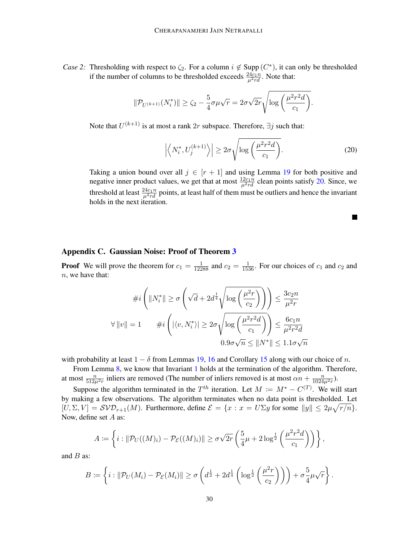*Case 2:* Thresholding with respect to  $\zeta_2$ . For a column  $i \notin \text{Supp}(C^*)$ , it can only be thresholded if the number of columns to be thresholded exceeds  $\frac{24c_1n}{\mu^2rd}$ . Note that:

$$
\|\mathcal{P}_{U^{(k+1)}}(N_i^*)\| \geq \zeta_2 - \frac{5}{4}\sigma\mu\sqrt{r} = 2\sigma\sqrt{2r}\sqrt{\log\left(\frac{\mu^2r^2d}{c_1}\right)}.
$$

Note that  $U^{(k+1)}$  is at most a rank  $2r$  subspace. Therefore,  $\exists j$  such that:

<span id="page-29-1"></span>
$$
\left| \left\langle N_i^*, U_j^{(k+1)} \right\rangle \right| \ge 2\sigma \sqrt{\log \left( \frac{\mu^2 r^2 d}{c_1} \right)}.
$$
\n(20)

×

Taking a union bound over all  $j \in [r+1]$  and using Lemma [19](#page-25-0) for both positive and negative inner product values, we get that at most  $\frac{12c_1n}{\mu^2rd}$  clean points satisfy [20.](#page-29-1) Since, we threshold at least  $\frac{24c_1n}{\mu^2rd}$  points, at least half of them must be outliers and hence the invariant holds in the next iteration.

### <span id="page-29-0"></span>Appendix C. Gaussian Noise: Proof of Theorem [3](#page-7-1)

**Proof** We will prove the theorem for  $c_1 = \frac{1}{12288}$  and  $c_2 = \frac{1}{1536}$ . For our choices of  $c_1$  and  $c_2$  and  $n$ , we have that:

$$
\#i\left(\|N_i^*\| \ge \sigma\left(\sqrt{d} + 2d^{\frac{1}{4}}\sqrt{\log\left(\frac{\mu^2 r}{c_2}\right)}\right)\right) \le \frac{3c_2 n}{\mu^2 r}
$$
  

$$
\forall \|v\| = 1 \qquad \#i\left(|\langle v, N_i^*\rangle| \ge 2\sigma\sqrt{\log\left(\frac{\mu^2 r^2 d}{c_1}\right)}\right) \le \frac{6c_1 n}{\mu^2 r^2 d}
$$
  

$$
0.9\sigma\sqrt{n} \le \|N^*\| \le 1.1\sigma\sqrt{n}
$$

with probability at least  $1 - \delta$  from Lemmas [19,](#page-25-0) [16](#page-20-0) and Corollary [15](#page-20-1) along with our choice of n.

From Lemma [8,](#page-15-2) we know that Invariant [1](#page-15-1) holds at the termination of the algorithm. Therefore, at most  $\frac{n}{512\mu^2r}$  inliers are removed (The number of inliers removed is at most  $\alpha n + \frac{n}{1024\mu^2r}$ ).

Suppose the algorithm terminated in the  $T^{th}$  iteration. Let  $M := M^* - C^{(T)}$ . We will start by making a few observations. The algorithm terminates when no data point is thresholded. Let  $[U, \Sigma, V] = \mathcal{SVD}_{r+1}(M)$ . Furthermore, define  $\mathcal{E} = \{x : x = U\Sigma y \text{ for some } ||y|| \leq 2\mu\sqrt{r/n}\}.$ Now, define set A as:

$$
A \coloneqq \left\{ i : \|\mathcal{P}_U((M)_i) - \mathcal{P}_\mathcal{E}((M)_i)\| \ge \sigma\sqrt{2r} \left(\frac{5}{4}\mu + 2\log^{\frac{1}{2}}\left(\frac{\mu^2 r^2 d}{c_1}\right)\right) \right\},\,
$$

and  $B$  as:

$$
B \coloneqq \left\{ i : \|\mathcal{P}_U(M_i) - \mathcal{P}_{\mathcal{E}}(M_i)\| \ge \sigma \left( d^{\frac{1}{2}} + 2d^{\frac{1}{4}} \left( \log^{\frac{1}{2}} \left( \frac{\mu^2 r}{c_2} \right) \right) \right) + \sigma \frac{5}{4} \mu \sqrt{r} \right\}.
$$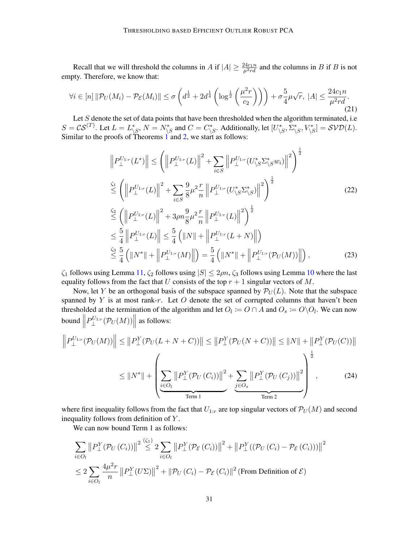Recall that we will threshold the columns in A if  $|A| \ge \frac{24c_1n}{\mu^2rd}$  and the columns in B if B is not empty. Therefore, we know that:

<span id="page-30-0"></span>
$$
\forall i \in [n] \|\mathcal{P}_U(M_i) - \mathcal{P}_\mathcal{E}(M_i)\| \le \sigma \left(d^{\frac{1}{2}} + 2d^{\frac{1}{4}} \left(\log^{\frac{1}{2}}\left(\frac{\mu^2 r}{c_2}\right)\right)\right) + \sigma \frac{5}{4} \mu \sqrt{r}, \ |A| \le \frac{24c_1 n}{\mu^2 r d}.
$$
\n(21)

Let  $S$  denote the set of data points that have been thresholded when the algorithm terminated, i.e.  $S = \mathcal{CS}^{(T)}$ . Let  $L = L^*_{\backslash S}$ ,  $N = N^*_{\backslash S}$  and  $C = C^*_{\backslash S}$ . Additionally, let  $[U^*_{\backslash S}, \Sigma^*_{\backslash S}, V^*_{\backslash S}] = \mathcal{SVD}(L)$ . Similar to the proofs of Theorems  $1$  and  $2$ , we start as follows:

<span id="page-30-2"></span>
$$
\|P_{\perp}^{U_{1:r}}(L^*)\| \leq \left(\left\|P_{\perp}^{U_{1:r}}(L)\right\|^2 + \sum_{i \in S} \left\|P_{\perp}^{U_{1:r}}(U_{\backslash S}^* \Sigma_{\backslash S}^* w_i)\right\|^2\right)^{\frac{1}{2}}
$$
  
\n
$$
\stackrel{\zeta_1}{\leq} \left(\left\|P_{\perp}^{U_{1:r}}(L)\right\|^2 + \sum_{i \in S} \frac{9}{8} \mu^2 \frac{r}{n} \left\|P_{\perp}^{U_{1:r}}(U_{\backslash S}^* \Sigma_{\backslash S}^*)\right\|^2\right)^{\frac{1}{2}}
$$
  
\n
$$
\stackrel{\zeta_2}{\leq} \left(\left\|P_{\perp}^{U_{1:r}}(L)\right\|^2 + 3\rho n \frac{9}{8} \mu^2 \frac{r}{n} \left\|P_{\perp}^{U_{1:r}}(L)\right\|^2\right)^{\frac{1}{2}}
$$
  
\n
$$
\leq \frac{5}{4} \left\|P_{\perp}^{U_{1:r}}(L)\right\| \leq \frac{5}{4} \left(\|N\| + \left\|P_{\perp}^{U_{1:r}}(L+N)\right\|\right)
$$
  
\n
$$
\stackrel{\zeta_3}{\leq} \frac{5}{4} \left(\|N^*\| + \left\|P_{\perp}^{U_{1:r}}(M)\right\|\right) = \frac{5}{4} \left(\|N^*\| + \left\|P_{\perp}^{U_{1:r}}(\mathcal{P}_U(M))\right\|\right),
$$
\n(23)

 $\zeta_1$  follows using Lemma [11,](#page-18-0)  $\zeta_2$  follows using  $|S| \leq 2\rho n$ ,  $\zeta_3$  follows using Lemma [10](#page-18-1) where the last equality follows from the fact that U consists of the top  $r + 1$  singular vectors of M.

Now, let Y be an orthogonal basis of the subspace spanned by  $\mathcal{P}_U(L)$ . Note that the subspace spanned by  $Y$  is at most rank-r. Let  $O$  denote the set of corrupted columns that haven't been thresholded at the termination of the algorithm and let  $O_l := O \cap A$  and  $O_s := O \setminus O_l$ . We can now bound  $\parallel$  $P^{U_{1:r}}_{\perp}(\mathcal{P}_U(M)) \Big\|$ as follows:

$$
\left\|P_{\perp}^{U_{1:r}}(\mathcal{P}_{U}(M))\right\| \leq \left\|P_{\perp}^{Y}(\mathcal{P}_{U}(L+N+C))\right\| \leq \left\|P_{\perp}^{Y}(\mathcal{P}_{U}(N+C))\right\| \leq \left\|N\right\| + \left\|P_{\perp}^{Y}(\mathcal{P}_{U}(C))\right\|
$$

$$
\leq \left\|N^{*}\right\| + \left(\sum_{i\in O_{l}}\left\|P_{\perp}^{Y}(\mathcal{P}_{U}(C_{i}))\right\|^{2} + \sum_{j\in O_{s}}\left\|P_{\perp}^{Y}(\mathcal{P}_{U}(C_{j}))\right\|^{2}\right)^{\frac{1}{2}},
$$
(24)

where first inequality follows from the fact that  $U_{1:r}$  are top singular vectors of  $\mathcal{P}_U(M)$  and second inequality follows from definition of Y.

<span id="page-30-1"></span>We can now bound Term 1 as follows:

$$
\sum_{i \in O_l} \left\| P^Y_{\perp}(\mathcal{P}_U(C_i)) \right\|^2 \stackrel{\langle \zeta_1 \rangle}{\leq} 2 \sum_{i \in O_l} \left\| P^Y_{\perp}(\mathcal{P}_\mathcal{E}(C_i)) \right\|^2 + \left\| P^Y_{\perp}((\mathcal{P}_U(C_i) - \mathcal{P}_\mathcal{E}(C_i))) \right\|^2
$$
  

$$
\leq 2 \sum_{i \in O_l} \frac{4\mu^2 r}{n} \left\| P^Y_{\perp}(U\Sigma) \right\|^2 + \left\| \mathcal{P}_U(C_i) - \mathcal{P}_\mathcal{E}(C_i) \right\|^2 \text{ (From Definition of } \mathcal{E})
$$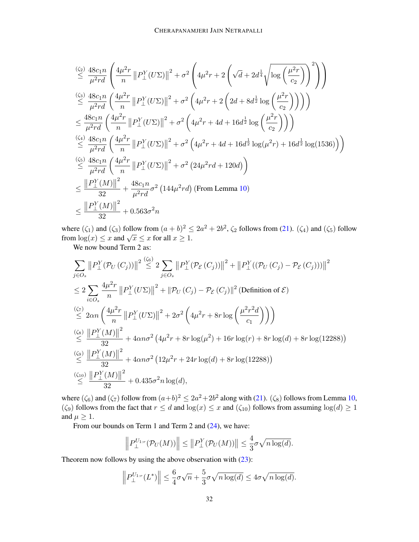$$
\begin{split}\n&\stackrel{(\zeta_{2})}{\leq} \frac{48c_{1}n}{\mu^{2}rd} \left( \frac{4\mu^{2}r}{n} \left\| P_{\perp}^{Y}(U\Sigma) \right\|^{2} + \sigma^{2} \left( 4\mu^{2}r + 2 \left( \sqrt{d} + 2d^{\frac{1}{4}} \sqrt{\log \left( \frac{\mu^{2}r}{c_{2}} \right)} \right)^{2} \right) \right) \\
&\stackrel{(\zeta_{3})}{\leq} \frac{48c_{1}n}{\mu^{2}rd} \left( \frac{4\mu^{2}r}{n} \left\| P_{\perp}^{Y}(U\Sigma) \right\|^{2} + \sigma^{2} \left( 4\mu^{2}r + 2 \left( 2d + 8d^{\frac{1}{2}} \log \left( \frac{\mu^{2}r}{c_{2}} \right) \right) \right) \right) \\
&\leq \frac{48c_{1}n}{\mu^{2}rd} \left( \frac{4\mu^{2}r}{n} \left\| P_{\perp}^{Y}(U\Sigma) \right\|^{2} + \sigma^{2} \left( 4\mu^{2}r + 4d + 16d^{\frac{1}{2}} \log \left( \frac{\mu^{2}r}{c_{2}} \right) \right) \right) \\
&\stackrel{(\zeta_{4})}{\leq} \frac{48c_{1}n}{\mu^{2}rd} \left( \frac{4\mu^{2}r}{n} \left\| P_{\perp}^{Y}(U\Sigma) \right\|^{2} + \sigma^{2} \left( 4\mu^{2}r + 4d + 16d^{\frac{1}{2}} \log(\mu^{2}r) + 16d^{\frac{1}{2}} \log(1536) \right) \right) \\
&\stackrel{(\zeta_{5})}{\leq} \frac{48c_{1}n}{\mu^{2}rd} \left( \frac{4\mu^{2}r}{n} \left\| P_{\perp}^{Y}(U\Sigma) \right\|^{2} + \sigma^{2} \left( 24\mu^{2}rd + 120d \right) \right) \\
&\leq \frac{\| P_{\perp}^{Y}(M) \|^2}{32} + \frac{48c_{1}n}{\mu^{2}rd} \sigma^{2} \left( 144\mu^{2}rd \right) \text{ (From Lemma 10)} \\
&\leq \frac{\| P_{
$$

where  $(\zeta_1)$  and  $(\zeta_3)$  follow from  $(a+b)^2 \leq 2a^2 + 2b^2$ ,  $\zeta_2$  follows from [\(21\)](#page-30-0).  $(\zeta_4)$  and  $(\zeta_5)$  follow where  $\left(\xi_1\right)$  and  $\left(\xi_3\right)$  follow from  $\left(a + b\right) \le$ <br>from  $\log(x) \le x$  and  $\sqrt{x} \le x$  for all  $x \ge 1$ .

We now bound Term 2 as:

$$
\sum_{j \in O_s} ||P_{\perp}^{Y}(\mathcal{P}_{U}(C_j))||^{2} \leq 2 \sum_{j \in O_s} ||P_{\perp}^{Y}(\mathcal{P}_{\mathcal{E}}(C_j))||^{2} + ||P_{\perp}^{Y}((\mathcal{P}_{U}(C_j) - \mathcal{P}_{\mathcal{E}}(C_j)))||^{2}
$$
\n
$$
\leq 2 \sum_{i \in O_s} \frac{4\mu^{2}r}{n} ||P_{\perp}^{Y}(U\Sigma)||^{2} + ||\mathcal{P}_{U}(C_j) - \mathcal{P}_{\mathcal{E}}(C_j)||^{2} \text{ (Definition of } \mathcal{E})
$$
\n
$$
\stackrel{(\zeta_7)}{\leq} 2\alpha n \left(\frac{4\mu^{2}r}{n} ||P_{\perp}^{Y}(U\Sigma)||^{2} + 2\sigma^{2} \left(4\mu^{2}r + 8r \log\left(\frac{\mu^{2}r^{2}d}{c_{1}}\right)\right)\right)
$$
\n
$$
\stackrel{(\zeta_8)}{\leq} \frac{||P_{\perp}^{Y}(M)||^{2}}{32} + 4\alpha n \sigma^{2} \left(4\mu^{2}r + 8r \log(\mu^{2}) + 16r \log(r) + 8r \log(d) + 8r \log(12288)\right)
$$
\n
$$
\stackrel{(\zeta_9)}{\leq} \frac{||P_{\perp}^{Y}(M)||^{2}}{32} + 4\alpha n \sigma^{2} \left(12\mu^{2}r + 24r \log(d) + 8r \log(12288)\right)
$$
\n
$$
\stackrel{(\zeta_{10})}{\leq} \frac{||P_{\perp}^{Y}(M)||^{2}}{32} + 0.435\sigma^{2}n \log(d),
$$

where  $(\zeta_6)$  and  $(\zeta_7)$  follow from  $(a+b)^2 \le 2a^2+2b^2$  along with [\(21\)](#page-30-0).  $(\zeta_8)$  follows from Lemma [10,](#page-18-1) ( $\zeta_9$ ) follows from the fact that  $r \leq d$  and  $\log(x) \leq x$  and  $(\zeta_{10})$  follows from assuming  $\log(d) \geq 1$ and  $\mu \geq 1$ .

From our bounds on Term 1 and Term 2 and  $(24)$ , we have:

$$
\left\|P_{\perp}^{U_{1:r}}(\mathcal{P}_U(M))\right\| \leq \left\|P_{\perp}^Y(\mathcal{P}_U(M))\right\| \leq \frac{4}{3}\sigma\sqrt{n\log(d)}.
$$

Theorem now follows by using the above observation with  $(23)$ :

$$
\left\|P_{\perp}^{U_{1:r}}(L^*)\right\| \leq \frac{6}{4}\sigma\sqrt{n} + \frac{5}{3}\sigma\sqrt{n\log(d)} \leq 4\sigma\sqrt{n\log(d)}.
$$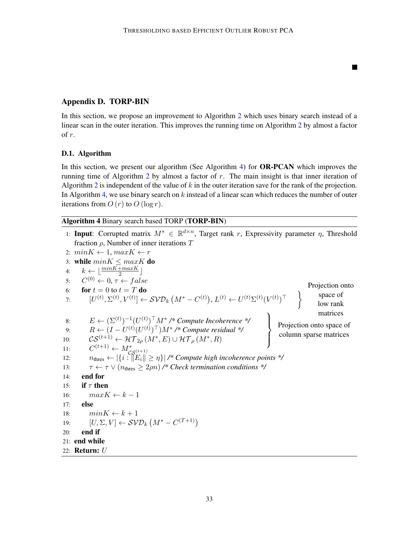$\blacksquare$ 

# Appendix D. TORP-BIN

In this section, we propose an improvement to Algorithm [2](#page-10-1) which uses binary search instead of a linear scan in the outer iteration. This improves the running time on Algorithm [2](#page-10-1) by almost a factor of r.

# D.1. Algorithm

In this section, we present our algorithm (See Algorithm [4\)](#page-32-0) for OR-PCAN which improves the running time of Algorithm [2](#page-10-1) by almost a factor of  $r$ . The main insight is that inner iteration of Algorithm [2](#page-10-1) is independent of the value of  $k$  in the outer iteration save for the rank of the projection. In Algorithm [4,](#page-32-0) we use binary search on  $k$  instead of a linear scan which reduces the number of outer iterations from  $O(r)$  to  $O(\log r)$ .

<span id="page-32-0"></span>Algorithm 4 Binary search based TORP (TORP-BIN)

|     | 1: <b>Input:</b> Corrupted matrix $M^* \in \mathbb{R}^{d \times n}$ , Target rank r, Expressivity parameter $\eta$ , Threshold                                                                                                                                                                                                           |
|-----|------------------------------------------------------------------------------------------------------------------------------------------------------------------------------------------------------------------------------------------------------------------------------------------------------------------------------------------|
|     | fraction $\rho$ , Number of inner iterations T                                                                                                                                                                                                                                                                                           |
|     | 2: $minK \leftarrow 1, maxK \leftarrow r$                                                                                                                                                                                                                                                                                                |
|     | 3: while $minK \leq maxK$ do                                                                                                                                                                                                                                                                                                             |
| 4:  | $k \leftarrow  \frac{minK + maxK}{2} $                                                                                                                                                                                                                                                                                                   |
|     | 5: $C^{(0)} \leftarrow 0, \tau \leftarrow false$                                                                                                                                                                                                                                                                                         |
|     | Projection onto<br>6: for $t=0$ to $t=T$ do                                                                                                                                                                                                                                                                                              |
| 7:  | $[U^{(t)}, \Sigma^{(t)}, V^{(t)}] \leftarrow \mathcal{SVD}_k(M^* - C^{(t)}), L^{(t)} \leftarrow U^{(t)}\Sigma^{(t)}(V^{(t)})^\top$<br>space of<br>low rank                                                                                                                                                                               |
|     | matrices                                                                                                                                                                                                                                                                                                                                 |
| 8:  | $E \leftarrow (\Sigma^{(t)})^{-1} (U^{(t)})^{\top} M^* \rightarrow \text{Compute Incoherence }^* \}$<br>$R \leftarrow (I - U^{(t)} (U^{(t)})^{\top}) M^* \rightarrow \text{Compute residual }^* \}$<br>$CS^{(t+1)} \leftarrow 24 \mathcal{T}_2 \left( M^* \left  E \right  + 14 \mathcal{T} \left( M^* \left  E \right  \right) \right)$ |
| 9:  | Projection onto space of<br>column sparse matrices                                                                                                                                                                                                                                                                                       |
| 10: | $\mathcal{CS}^{(t+1)}\leftarrow \mathcal{HT}_{2\rho}\left(M^{*},E\right)\cup \mathcal{HT}_{\rho}\left(M^{*},R\right)$                                                                                                                                                                                                                    |
| 11: | $C^{(t+1)} \leftarrow M^*_{\mathcal{CS}^{(t+1)}}$                                                                                                                                                                                                                                                                                        |
| 12: | $n_{\text{thres}} \leftarrow  \{i : \exists  E_i  \geq \eta\} $ /* Compute high incoherence points */                                                                                                                                                                                                                                    |
| 13: | $\tau \leftarrow \tau \vee (n_{\text{thres}} \geq 2\rho n)$ /* Check termination conditions */                                                                                                                                                                                                                                           |
| 14: | end for                                                                                                                                                                                                                                                                                                                                  |
| 15: | if $\tau$ then                                                                                                                                                                                                                                                                                                                           |
| 16: | $maxK \leftarrow k-1$                                                                                                                                                                                                                                                                                                                    |
| 17: | else                                                                                                                                                                                                                                                                                                                                     |
| 18: | $minK \leftarrow k+1$                                                                                                                                                                                                                                                                                                                    |
|     | 19: $[U, \Sigma, V] \leftarrow \mathcal{SVD}_k(M^* - C^{(T+1)})$                                                                                                                                                                                                                                                                         |
| 20: | end if                                                                                                                                                                                                                                                                                                                                   |
|     | 21: end while                                                                                                                                                                                                                                                                                                                            |
|     | 22: <b>Return:</b> U                                                                                                                                                                                                                                                                                                                     |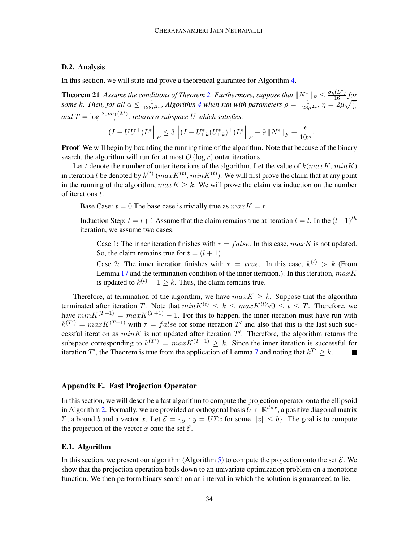# D.2. Analysis

In this section, we will state and prove a theoretical guarantee for Algorithm [4.](#page-32-0)

**Theorem 21** Assume the conditions of Theorem [2.](#page-6-1) Furthermore, suppose that  $\|N^*\|_F \leq \frac{\sigma_k(L^*)}{16}$  for *some* k. Then, for all  $\alpha \le \frac{1}{128\mu^2 r}$ , Algorithm [4](#page-32-0) when run with parameters  $\rho = \frac{1}{128\mu^2 r}$ ,  $\eta = 2\mu\sqrt{\frac{r}{n}}$ and  $T = \log \frac{20 n \sigma_1(M)}{\epsilon}$ , returns a subspace U which satisfies:

$$
\left\| \left(I - U U^\top\right) L^* \right\|_F \leq 3 \left\| \left(I - U^*_{1:k} (U^*_{1:k})^\top\right) L^* \right\|_F + 9 \left\| N^* \right\|_F + \frac{\epsilon}{10n}.
$$

**Proof** We will begin by bounding the running time of the algorithm. Note that because of the binary search, the algorithm will run for at most  $O(\log r)$  outer iterations.

Let t denote the number of outer iterations of the algorithm. Let the value of  $k(maxK, minK)$ in iteration t be denoted by  $k^{(t)}$  ( $maxK^{(t)}$ ,  $minK^{(t)}$ ). We will first prove the claim that at any point in the running of the algorithm,  $maxK \geq k$ . We will prove the claim via induction on the number of iterations t:

Base Case:  $t = 0$  The base case is trivially true as  $maxK = r$ .

Induction Step:  $t = l+1$  Assume that the claim remains true at iteration  $t = l$ . In the  $(l+1)$ <sup>th</sup> iteration, we assume two cases:

Case 1: The inner iteration finishes with  $\tau = false$ . In this case,  $maxK$  is not updated. So, the claim remains true for  $t = (l + 1)$ 

Case 2: The inner iteration finishes with  $\tau = true$ . In this case,  $k^{(t)} > k$  (From Lemma [17](#page-21-2) and the termination condition of the inner iteration.). In this iteration,  $maxK$ is updated to  $k^{(t)} - 1 \geq k$ . Thus, the claim remains true.

Therefore, at termination of the algorithm, we have  $maxK \geq k$ . Suppose that the algorithm terminated after iteration T. Note that  $minK^{(t)} \le k \le maxK^{(t)} \forall 0 \le t \le T$ . Therefore, we have  $minK^{(T+1)} = maxK^{(T+1)} + 1$ . For this to happen, the inner iteration must have run with  $k^{(T')} = max K^{(T+1)}$  with  $\tau = false$  for some iteration T' and also that this is the last such successful iteration as  $minK$  is not updated after iteration  $T'$ . Therefore, the algorithm returns the subspace corresponding to  $k^{(T)} = max K^{(T+1)} \geq k$ . Since the inner iteration is successful for iteration T', the Theorem is true from the application of Lemma [7](#page-14-1) and noting that  $k^{T'} \geq k$ .

### Appendix E. Fast Projection Operator

In this section, we will describe a fast algorithm to compute the projection operator onto the ellipsoid in Algorithm [2.](#page-10-1) Formally, we are provided an orthogonal basis  $U \in \mathbb{R}^{d \times r}$ , a positive diagonal matrix Σ, a bound b and a vector x. Let  $\mathcal{E} = \{y : y = U\Sigma z \text{ for some } ||z|| \leq b\}$ . The goal is to compute the projection of the vector x onto the set  $\mathcal{E}$ .

#### E.1. Algorithm

In this section, we present our algorithm (Algorithm [5\)](#page-34-0) to compute the projection onto the set  $\mathcal{E}$ . We show that the projection operation boils down to an univariate optimization problem on a monotone function. We then perform binary search on an interval in which the solution is guaranteed to lie.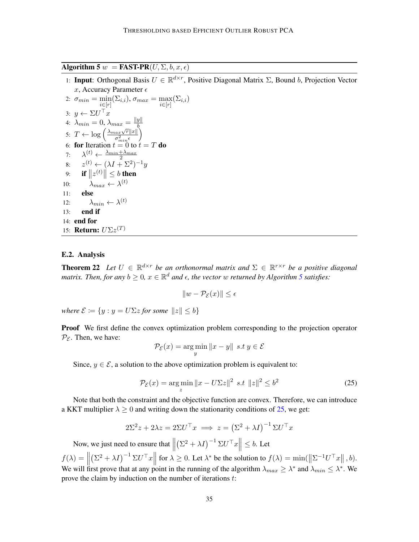<span id="page-34-0"></span>Algorithm 5  $w =$  FAST-PR( $U, \Sigma, b, x, \epsilon$ )

1: Input: Orthogonal Basis  $U \in \mathbb{R}^{d \times r}$ , Positive Diagonal Matrix  $\Sigma$ , Bound b, Projection Vector x, Accuracy Parameter  $\epsilon$ 

```
2: \sigma_{min} = \min_{i \in [r]} (\Sigma_{i,i}), \sigma_{max} = \max_{i \in [r]} (\Sigma_{i,i})3: y \leftarrow \Sigma U^{\top} x4: \lambda_{min} = 0, \lambda_{max} = \frac{||y||}{b}4. \lambda_{min} = 0, \lambda_{max} = -\frac{1}{b}<br>5: T \leftarrow \log \left( \frac{\lambda_{max} \sqrt{r} ||x||}{\sigma^2} \right)\overline{\sigma_{min}^2 \epsilon}\setminus6: for Iteration t = 0 to t = T do
 7:\frac{(t)}{\sqrt{t}} \leftarrow \frac{\lambda_{min} + \lambda_{max}}{2}8: z^{(t)} \leftarrow (\lambda I + \Sigma^2)^{-1} y9: if ||z^{(t)}|| \leq b then
10: \lambda_{max} \leftarrow \lambda^{(t)}11: else
12: \lambda_{min} \leftarrow \lambda^{(t)}13: end if
14: end for
15: Return: U\Sigma z^{(T)}
```
#### E.2. Analysis

**Theorem 22** Let  $U \in \mathbb{R}^{d \times r}$  be an orthonormal matrix and  $\Sigma \in \mathbb{R}^{r \times r}$  be a positive diagonal matrix. Then, for any  $b \geq 0$ ,  $x \in \mathbb{R}^d$  and  $\epsilon$ , the vector  $w$  returned by Algorithm [5](#page-34-0) satisfies:

$$
||w - \mathcal{P}_{\mathcal{E}}(x)|| \le \epsilon
$$

*where*  $\mathcal{E} := \{y : y = U \Sigma z$  *for some*  $||z|| < b\}$ 

**Proof** We first define the convex optimization problem corresponding to the projection operator  $P_{\mathcal{E}}$ . Then, we have:

$$
\mathcal{P}_{\mathcal{E}}(x) = \underset{y}{\arg\min} \|x - y\| \ \ s.t \ y \in \mathcal{E}
$$

Since,  $y \in \mathcal{E}$ , a solution to the above optimization problem is equivalent to:

<span id="page-34-1"></span>
$$
\mathcal{P}_{\mathcal{E}}(x) = \underset{z}{\arg\min} \|x - U\Sigma z\|^2 \ \ s.t \ \ \|z\|^2 \le b^2 \tag{25}
$$

Note that both the constraint and the objective function are convex. Therefore, we can introduce a KKT multiplier  $\lambda \geq 0$  and writing down the stationarity conditions of [25,](#page-34-1) we get:

$$
2\Sigma^2 z + 2\lambda z = 2\Sigma U^\top x \implies z = (\Sigma^2 + \lambda I)^{-1} \Sigma U^\top x
$$

Now, we just need to ensure that  $\left\| \left( \Sigma^2 + \lambda I \right)^{-1} \Sigma U^\top x \right\| \le b$ . Let  $\frac{1}{2}$  $f(\lambda) = \left\| \begin{matrix} 1 & \cdots & \cdots & \cdots \\ \vdots & \ddots & \ddots & \vdots \\ \vdots & \ddots & \ddots & \vdots \\ \vdots & \ddots & \ddots & \vdots \\ \vdots & \ddots & \ddots & \vdots \\ \vdots & \ddots & \ddots & \vdots \\ \vdots & \ddots & \ddots & \vdots \\ \vdots & \ddots & \ddots & \vdots \\ \vdots & \ddots & \ddots & \vdots \\ \vdots & \ddots & \ddots & \vdots \\ \vdots & \ddots & \ddots & \vdots \\ \vdots & \ddots & \ddots & \vdots \\ \vdots & \ddots & \ddots & \vdots$  $(\Sigma^2 + \lambda I)^{-1} \Sigma U^{\top} x$ for  $\lambda \geq 0$ . Let  $\lambda^*$  be the solution to  $f(\lambda) = \min(\left\| \Sigma^{-1} U^\top x \right\|, b)$ . We will first prove that at any point in the running of the algorithm  $\lambda_{max} \geq \lambda^*$  and  $\lambda_{min} \leq \lambda^*$ . We prove the claim by induction on the number of iterations t: